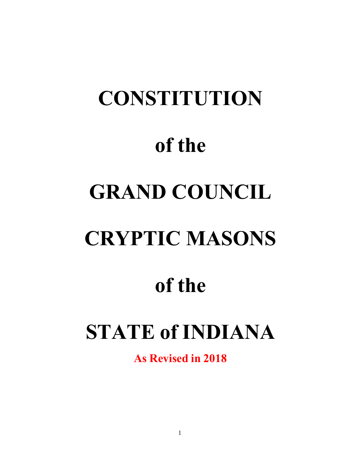# **CONSTITUTION of the GRAND COUNCIL CRYPTIC MASONS of the**

### **STATE of INDIANA**

**As Revised in 2018**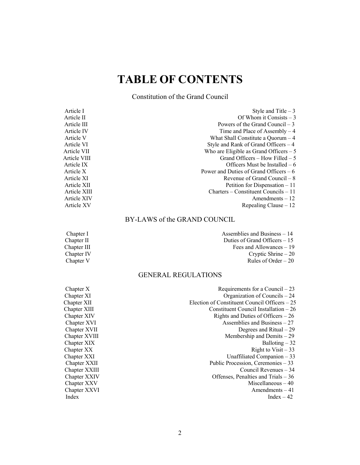### **TABLE OF CONTENTS**

Constitution of the Grand Council

| Style and Title $-3$                    |
|-----------------------------------------|
| Of Whom it Consists $-3$                |
| Powers of the Grand Council $-3$        |
| Time and Place of Assembly $-4$         |
| What Shall Constitute a Quorum $-4$     |
| Style and Rank of Grand Officers $-4$   |
| Who are Eligible as Grand Officers $-5$ |
| Grand Officers – How Filled – 5         |
| Officers Must be Installed $-6$         |
| Power and Duties of Grand Officers $-6$ |
| Revenue of Grand Council $-8$           |
| Petition for Dispensation $-11$         |
| $Charles - Constituent Councils - 11$   |
| $A$ mendments $-12$                     |
| Repealing Clause $-12$                  |
|                                         |

#### BY-LAWS of the GRAND COUNCIL

| Chapter I   | Assemblies and Business $-14$  |
|-------------|--------------------------------|
| Chapter II  | Duties of Grand Officers $-15$ |
| Chapter III | Fees and Allowances $-19$      |
| Chapter IV  | Cryptic Shrine $-20$           |
| Chapter V   | Rules of Order $-20$           |

#### GENERAL REGULATIONS

| Requirements for a Council $-23$               |
|------------------------------------------------|
| Organization of Councils - 24                  |
| Election of Constituent Council Officers $-25$ |
| Constituent Council Installation $-26$         |
| Rights and Duties of Officers $-26$            |
| Assemblies and Business $-27$                  |
| Degrees and Ritual $-29$                       |
| Membership and Demits $-29$                    |
| Balloting $-32$                                |
| Right to $Visit - 33$                          |
| Unaffiliated Companion $-33$                   |
| Public Procession, Ceremonies $-33$            |
| Council Revenues $-34$                         |
| Offenses, Penalties and Trials $-36$           |
| Miscellaneous $-40$                            |
| Amendments $-41$                               |
| $Index - 42$                                   |
|                                                |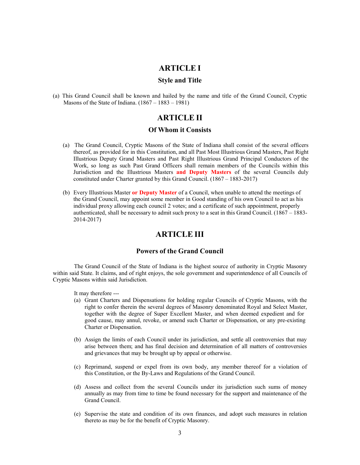#### **ARTICLE I**

#### **Style and Title**

(a) This Grand Council shall be known and hailed by the name and title of the Grand Council, Cryptic Masons of the State of Indiana.  $(1867 - 1883 - 1981)$ 

#### **ARTICLE II**

#### **Of Whom it Consists**

- (a) The Grand Council, Cryptic Masons of the State of Indiana shall consist of the several officers thereof, as provided for in this Constitution, and all Past Most Illustrious Grand Masters, Past Right Illustrious Deputy Grand Masters and Past Right Illustrious Grand Principal Conductors of the Work, so long as such Past Grand Officers shall remain members of the Councils within this Jurisdiction and the Illustrious Masters **and Deputy Masters** of the several Councils duly constituted under Charter granted by this Grand Council. (1867 – 1883-2017)
- (b) Every Illustrious Master **or Deputy Master** of a Council, when unable to attend the meetings of the Grand Council, may appoint some member in Good standing of his own Council to act as his individual proxy allowing each council 2 votes; and a certificate of such appointment, properly authenticated, shall be necessary to admit such proxy to a seat in this Grand Council. (1867 – 1883- 2014-2017)

#### **ARTICLE III**

#### **Powers of the Grand Council**

The Grand Council of the State of Indiana is the highest source of authority in Cryptic Masonry within said State. It claims, and of right enjoys, the sole government and superintendence of all Councils of Cryptic Masons within said Jurisdiction.

It may therefore ---

- (a) Grant Charters and Dispensations for holding regular Councils of Cryptic Masons, with the right to confer therein the several degrees of Masonry denominated Royal and Select Master, together with the degree of Super Excellent Master, and when deemed expedient and for good cause, may annul, revoke, or amend such Charter or Dispensation, or any pre-existing Charter or Dispensation.
- (b) Assign the limits of each Council under its jurisdiction, and settle all controversies that may arise between them; and has final decision and determination of all matters of controversies and grievances that may be brought up by appeal or otherwise.
- (c) Reprimand, suspend or expel from its own body, any member thereof for a violation of this Constitution, or the By-Laws and Regulations of the Grand Council.
- (d) Assess and collect from the several Councils under its jurisdiction such sums of money annually as may from time to time be found necessary for the support and maintenance of the Grand Council.
- (e) Supervise the state and condition of its own finances, and adopt such measures in relation thereto as may be for the benefit of Cryptic Masonry.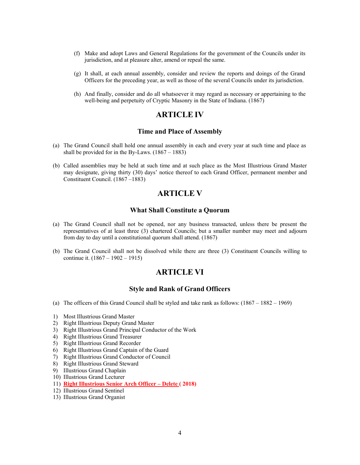- (f) Make and adopt Laws and General Regulations for the government of the Councils under its jurisdiction, and at pleasure alter, amend or repeal the same.
- (g) It shall, at each annual assembly, consider and review the reports and doings of the Grand Officers for the preceding year, as well as those of the several Councils under its jurisdiction.
- (h) And finally, consider and do all whatsoever it may regard as necessary or appertaining to the well-being and perpetuity of Cryptic Masonry in the State of Indiana. (1867)

#### **ARTICLE IV**

#### **Time and Place of Assembly**

- (a) The Grand Council shall hold one annual assembly in each and every year at such time and place as shall be provided for in the By-Laws.  $(1867 - 1883)$
- (b) Called assemblies may be held at such time and at such place as the Most Illustrious Grand Master may designate, giving thirty (30) days' notice thereof to each Grand Officer, permanent member and Constituent Council. (1867 –1883)

#### **ARTICLE V**

#### **What Shall Constitute a Quorum**

- (a) The Grand Council shall not be opened, nor any business transacted, unless there be present the representatives of at least three (3) chartered Councils; but a smaller number may meet and adjourn from day to day until a constitutional quorum shall attend. (1867)
- (b) The Grand Council shall not be dissolved while there are three (3) Constituent Councils willing to continue it. (1867 – 1902 – 1915)

#### **ARTICLE VI**

#### **Style and Rank of Grand Officers**

- (a) The officers of this Grand Council shall be styled and take rank as follows: (1867 1882 1969)
- 1) Most Illustrious Grand Master
- 2) Right Illustrious Deputy Grand Master
- 3) Right Illustrious Grand Principal Conductor of the Work
- 4) Right Illustrious Grand Treasurer
- 5) Right Illustrious Grand Recorder
- 6) Right Illustrious Grand Captain of the Guard
- 7) Right Illustrious Grand Conductor of Council
- 8) Right Illustrious Grand Steward
- 9) Illustrious Grand Chaplain
- 10) Illustrious Grand Lecturer
- 11) **Right Illustrious Senior Arch Officer Delete ( 2018)**
- 12) Illustrious Grand Sentinel
- 13) Illustrious Grand Organist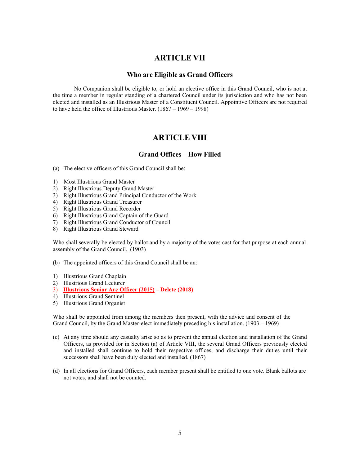#### **ARTICLE VII**

#### **Who are Eligible as Grand Officers**

No Companion shall be eligible to, or hold an elective office in this Grand Council, who is not at the time a member in regular standing of a chartered Council under its jurisdiction and who has not been elected and installed as an Illustrious Master of a Constituent Council. Appointive Officers are not required to have held the office of Illustrious Master.  $(1867 - 1969 - 1998)$ 

#### **ARTICLE VIII**

#### **Grand Offices – How Filled**

- (a) The elective officers of this Grand Council shall be:
- 1) Most Illustrious Grand Master
- 2) Right Illustrious Deputy Grand Master
- 3) Right Illustrious Grand Principal Conductor of the Work
- 4) Right Illustrious Grand Treasurer
- 5) Right Illustrious Grand Recorder
- 6) Right Illustrious Grand Captain of the Guard
- 7) Right Illustrious Grand Conductor of Council
- 8) Right Illustrious Grand Steward

Who shall severally be elected by ballot and by a majority of the votes cast for that purpose at each annual assembly of the Grand Council. (1903)

- (b) The appointed officers of this Grand Council shall be an:
- 1) Illustrious Grand Chaplain
- 2) Illustrious Grand Lecturer
- 3) **Illustrious Senior Arc Officer (2015) Delete (2018)**
- 4) Illustrious Grand Sentinel
- 5) Illustrious Grand Organist

Who shall be appointed from among the members then present, with the advice and consent of the Grand Council, by the Grand Master-elect immediately preceding his installation. (1903 – 1969)

- (c) At any time should any casualty arise so as to prevent the annual election and installation of the Grand Officers, as provided for in Section (a) of Article VIII, the several Grand Officers previously elected and installed shall continue to hold their respective offices, and discharge their duties until their successors shall have been duly elected and installed. (1867)
- (d) In all elections for Grand Officers, each member present shall be entitled to one vote. Blank ballots are not votes, and shall not be counted.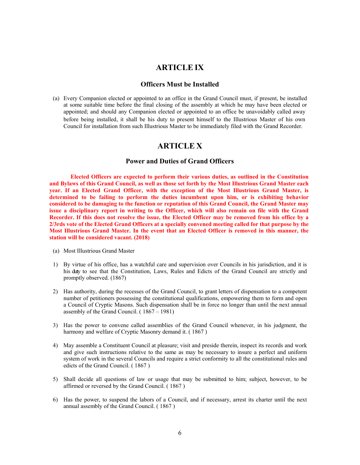#### **ARTICLE IX**

#### **Officers Must be Installed**

(a) Every Companion elected or appointed to an office in the Grand Council must, if present, be installed at some suitable time before the final closing of the assembly at which he may have been elected or appointed; and should any Companion elected or appointed to an office be unavoidably called away before being installed, it shall be his duty to present himself to the Illustrious Master of his own Council for installation from such Illustrious Master to be immediately filed with the Grand Recorder.

#### **ARTICLE X**

#### **Power and Duties of Grand Officers**

**Elected Officers are expected to perform their various duties, as outlined in the Constitution and Bylaws of this Grand Council, as well as those set forth by the Most Illustrious Grand Master each year. If an Elected Grand Officer, with the exception of the Most Illustrious Grand Master, is determined to be failing to perform the duties incumbent upon him, or is exhibiting behavior considered to be damaging to the function or reputation of this Grand Council, the Grand Master may issue a disciplinary report in writing to the Officer, which will also remain on file with the Grand Recorder. If this does not resolve the issue, the Elected Officer may be removed from his office by a 2/3rds vote of the Elected Grand Officers at a specially convened meeting called for that purpose by the Most Illustrious Grand Master. In the event that an Elected Officer is removed in this manner, the station will be considered vacant. (2018)**

- (a) Most Illustrious Grand Master
- 1) By virtue of his office, has a watchful care and supervision over Councils in his jurisdiction, and it is his duty to see that the Constitution, Laws, Rules and Edicts of the Grand Council are strictly and promptly observed. (1867)
- 2) Has authority, during the recesses of the Grand Council, to grant letters of dispensation to a competent number of petitioners possessing the constitutional qualifications, empowering them to form and open a Council of Cryptic Masons. Such dispensation shall be in force no longer than until the next annual assembly of the Grand Council. ( 1867 – 1981)
- 3) Has the power to convene called assemblies of the Grand Council whenever, in his judgment, the harmony and welfare of Cryptic Masonry demand it. ( 1867 )
- 4) May assemble a Constituent Council at pleasure; visit and preside therein, inspect its records and work and give such instructions relative to the same as may be necessary to insure a perfect and uniform system of work in the several Councils and require a strict conformity to all the constitutional rules and edicts of the Grand Council. ( 1867 )
- 5) Shall decide all questions of law or usage that may be submitted to him; subject, however, to be affirmed or reversed by the Grand Council. ( 1867 )
- 6) Has the power, to suspend the labors of a Council, and if necessary, arrest its charter until the next annual assembly of the Grand Council. ( 1867 )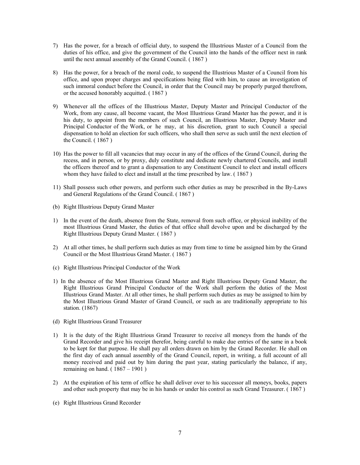- 7) Has the power, for a breach of official duty, to suspend the Illustrious Master of a Council from the duties of his office, and give the government of the Council into the hands of the officer next in rank until the next annual assembly of the Grand Council. ( 1867 )
- 8) Has the power, for a breach of the moral code, to suspend the Illustrious Master of a Council from his office, and upon proper charges and specifications being filed with him, to cause an investigation of such immoral conduct before the Council, in order that the Council may be properly purged therefrom, or the accused honorably acquitted. ( 1867 )
- 9) Whenever all the offices of the Illustrious Master, Deputy Master and Principal Conductor of the Work, from any cause, all become vacant, the Most Illustrious Grand Master has the power, and it is his duty, to appoint from the members of such Council, an Illustrious Master, Deputy Master and Principal Conductor of the Work, or he may, at his discretion, grant to such Council a special dispensation to hold an election for such officers, who shall then serve as such until the next election of the Council. ( 1867 )
- 10) Has the power to fill all vacancies that may occur in any of the offices of the Grand Council, during the recess, and in person, or by proxy, duly constitute and dedicate newly chartered Councils, and install the officers thereof and to grant a dispensation to any Constituent Council to elect and install officers whom they have failed to elect and install at the time prescribed by law. ( 1867 )
- 11) Shall possess such other powers, and perform such other duties as may be prescribed in the By-Laws and General Regulations of the Grand Council. ( 1867 )
- (b) Right Illustrious Deputy Grand Master
- 1) In the event of the death, absence from the State, removal from such office, or physical inability of the most Illustrious Grand Master, the duties of that office shall devolve upon and be discharged by the Right Illustrious Deputy Grand Master. ( 1867 )
- 2) At all other times, he shall perform such duties as may from time to time be assigned him by the Grand Council or the Most Illustrious Grand Master. ( 1867 )
- (c) Right Illustrious Principal Conductor of the Work
- 1) In the absence of the Most Illustrious Grand Master and Right Illustrious Deputy Grand Master, the Right Illustrious Grand Principal Conductor of the Work shall perform the duties of the Most Illustrious Grand Master. At all other times, he shall perform such duties as may be assigned to him by the Most Illustrious Grand Master of Grand Council, or such as are traditionally appropriate to his station. (1867)
- (d) Right Illustrious Grand Treasurer
- 1) It is the duty of the Right Illustrious Grand Treasurer to receive all moneys from the hands of the Grand Recorder and give his receipt therefor, being careful to make due entries of the same in a book to be kept for that purpose. He shall pay all orders drawn on him by the Grand Recorder. He shall on the first day of each annual assembly of the Grand Council, report, in writing, a full account of all money received and paid out by him during the past year, stating particularly the balance, if any, remaining on hand.  $(1867 - 1901)$
- 2) At the expiration of his term of office he shall deliver over to his successor all moneys, books, papers and other such property that may be in his hands or under his control as such Grand Treasurer. ( 1867 )
- (e) Right Illustrious Grand Recorder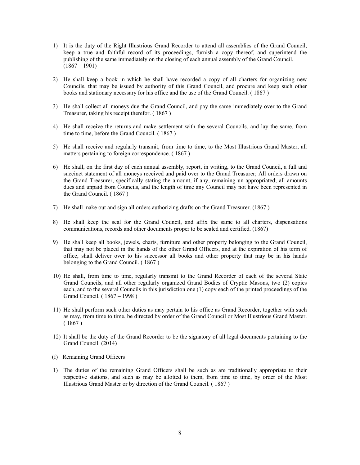- 1) It is the duty of the Right Illustrious Grand Recorder to attend all assemblies of the Grand Council, keep a true and faithful record of its proceedings, furnish a copy thereof, and superintend the publishing of the same immediately on the closing of each annual assembly of the Grand Council.  $(1867 - 1901)$
- 2) He shall keep a book in which he shall have recorded a copy of all charters for organizing new Councils, that may be issued by authority of this Grand Council, and procure and keep such other books and stationary necessary for his office and the use of the Grand Council. ( 1867 )
- 3) He shall collect all moneys due the Grand Council, and pay the same immediately over to the Grand Treasurer, taking his receipt therefor. ( 1867 )
- 4) He shall receive the returns and make settlement with the several Councils, and lay the same, from time to time, before the Grand Council. ( 1867 )
- 5) He shall receive and regularly transmit, from time to time, to the Most Illustrious Grand Master, all matters pertaining to foreign correspondence. ( 1867 )
- 6) He shall, on the first day of each annual assembly, report, in writing, to the Grand Council, a full and succinct statement of all moneys received and paid over to the Grand Treasurer; All orders drawn on the Grand Treasurer, specifically stating the amount, if any, remaining un-appropriated; all amounts dues and unpaid from Councils, and the length of time any Council may not have been represented in the Grand Council. ( 1867 )
- 7) He shall make out and sign all orders authorizing drafts on the Grand Treasurer. (1867 )
- 8) He shall keep the seal for the Grand Council, and affix the same to all charters, dispensations communications, records and other documents proper to be sealed and certified. (1867)
- 9) He shall keep all books, jewels, charts, furniture and other property belonging to the Grand Council, that may not be placed in the hands of the other Grand Officers, and at the expiration of his term of office, shall deliver over to his successor all books and other property that may be in his hands belonging to the Grand Council. ( 1867 )
- 10) He shall, from time to time, regularly transmit to the Grand Recorder of each of the several State Grand Councils, and all other regularly organized Grand Bodies of Cryptic Masons, two (2) copies each, and to the several Councils in this jurisdiction one (1) copy each of the printed proceedings of the Grand Council. ( 1867 – 1998 )
- 11) He shall perform such other duties as may pertain to his office as Grand Recorder, together with such as may, from time to time, be directed by order of the Grand Council or Most Illustrious Grand Master. ( 1867 )
- 12) It shall be the duty of the Grand Recorder to be the signatory of all legal documents pertaining to the Grand Council. (2014)
- (f) Remaining Grand Officers
- 1) The duties of the remaining Grand Officers shall be such as are traditionally appropriate to their respective stations, and such as may be allotted to them, from time to time, by order of the Most Illustrious Grand Master or by direction of the Grand Council. ( 1867 )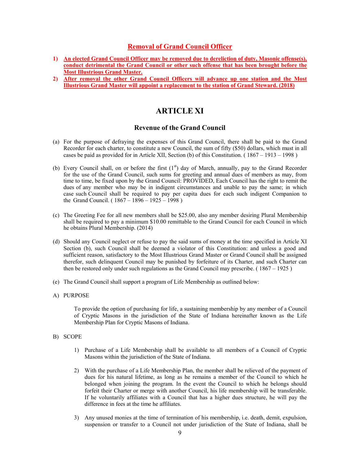#### **Removal of Grand Council Officer**

- **1) An elected Grand Council Officer may be removed due to dereliction of duty, Masonic offense(s), conduct detrimental the Grand Council or other such offense that has been brought before the Most Illustrious Grand Master.**
- **2) After removal the other Grand Council Officers will advance up one station and the Most Illustrious Grand Master will appoint a replacement to the station of Grand Steward. (2018)**

#### **ARTICLE XI**

#### **Revenue of the Grand Council**

- (a) For the purpose of defraying the expenses of this Grand Council, there shall be paid to the Grand Recorder for each charter, to constitute a new Council, the sum of fifty (\$50) dollars, which must in all cases be paid as provided for in Article XII, Section (b) of this Constitution. ( 1867 – 1913 – 1998 )
- (b) Every Council shall, on or before the first (1st) day of March, annually, pay to the Grand Recorder for the use of the Grand Council, such sums for greeting and annual dues of members as may, from time to time, be fixed upon by the Grand Council: PROVIDED, Each Council has the right to remit the dues of any member who may be in indigent circumstances and unable to pay the same; in which case such Council shall be required to pay per capita dues for each such indigent Companion to the Grand Council. ( $1867 - 1896 - 1925 - 1998$ )
- (c) The Greeting Fee for all new members shall be \$25.00, also any member desiring Plural Membership shall be required to pay a minimum \$10.00 remittable to the Grand Council for each Council in which he obtains Plural Membership. (2014)
- (d) Should any Council neglect or refuse to pay the said sums of money at the time specified in Article XI Section (b), such Council shall be deemed a violator of this Constitution: and unless a good and sufficient reason, satisfactory to the Most Illustrious Grand Master or Grand Council shall be assigned therefor, such delinquent Council may be punished by forfeiture of its Charter, and such Charter can then be restored only under such regulations as the Grand Council may prescribe. ( 1867 – 1925 )
- (e) The Grand Council shall support a program of Life Membership as outlined below:
- A) PURPOSE

To provide the option of purchasing for life, a sustaining membership by any member of a Council of Cryptic Masons in the jurisdiction of the State of Indiana hereinafter known as the Life Membership Plan for Cryptic Masons of Indiana.

- B) SCOPE
	- 1) Purchase of a Life Membership shall be available to all members of a Council of Cryptic Masons within the jurisdiction of the State of Indiana.
	- 2) With the purchase of a Life Membership Plan, the member shall be relieved of the payment of dues for his natural lifetime, as long as he remains a member of the Council to which he belonged when joining the program. In the event the Council to which he belongs should forfeit their Charter or merge with another Council, his life membership will be transferable. If he voluntarily affiliates with a Council that has a higher dues structure, he will pay the difference in fees at the time he affiliates.
	- 3) Any unused monies at the time of termination of his membership, i.e. death, demit, expulsion, suspension or transfer to a Council not under jurisdiction of the State of Indiana, shall be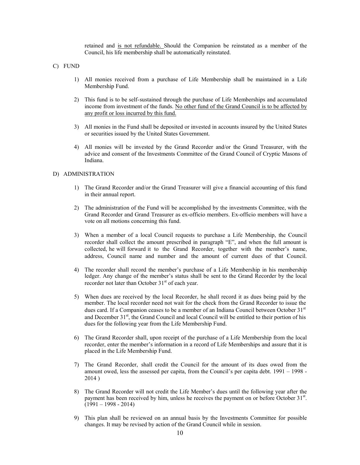retained and is not refundable. Should the Companion be reinstated as a member of the Council, his life membership shall be automatically reinstated.

C) FUND

- 1) All monies received from a purchase of Life Membership shall be maintained in a Life Membership Fund.
- 2) This fund is to be self-sustained through the purchase of Life Memberships and accumulated income from investment of the funds. No other fund of the Grand Council is to be affected by any profit or loss incurred by this fund.
- 3) All monies in the Fund shall be deposited or invested in accounts insured by the United States or securities issued by the United States Government.
- 4) All monies will be invested by the Grand Recorder and/or the Grand Treasurer, with the advice and consent of the Investments Committee of the Grand Council of Cryptic Masons of Indiana.

#### D) ADMINISTRATION

- 1) The Grand Recorder and/or the Grand Treasurer will give a financial accounting of this fund in their annual report.
- 2) The administration of the Fund will be accomplished by the investments Committee, with the Grand Recorder and Grand Treasurer as ex-officio members. Ex-officio members will have a vote on all motions concerning this fund.
- 3) When a member of a local Council requests to purchase a Life Membership, the Council recorder shall collect the amount prescribed in paragraph "E", and when the full amount is collected, he will forward it to the Grand Recorder, together with the member's name, address, Council name and number and the amount of current dues of that Council.
- 4) The recorder shall record the member's purchase of a Life Membership in his membership ledger. Any change of the member's status shall be sent to the Grand Recorder by the local recorder not later than October 31<sup>st</sup> of each year.
- 5) When dues are received by the local Recorder, he shall record it as dues being paid by the member. The local recorder need not wait for the check from the Grand Recorder to issue the dues card. If a Companion ceases to be a member of an Indiana Council between October 31<sup>st</sup> and December 31<sup>st</sup>, the Grand Council and local Council will be entitled to their portion of his dues for the following year from the Life Membership Fund.
- 6) The Grand Recorder shall, upon receipt of the purchase of a Life Membership from the local recorder, enter the member's information in a record of Life Memberships and assure that it is placed in the Life Membership Fund.
- 7) The Grand Recorder, shall credit the Council for the amount of its dues owed from the amount owed, less the assessed per capita, from the Council's per capita debt. 1991 – 1998 - 2014 )
- 8) The Grand Recorder will not credit the Life Member's dues until the following year after the payment has been received by him, unless he receives the payment on or before October 31<sup>st</sup>.  $(1991 - 1998 - 2014)$
- 9) This plan shall be reviewed on an annual basis by the Investments Committee for possible changes. It may be revised by action of the Grand Council while in session.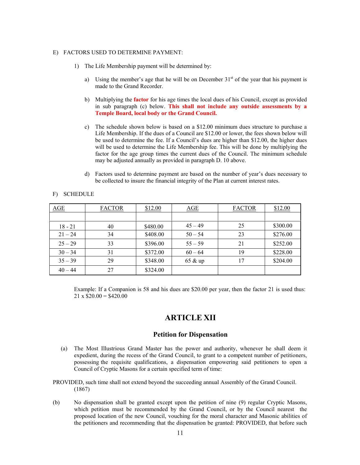#### E) FACTORS USED TO DETERMINE PAYMENT:

- 1) The Life Membership payment will be determined by:
	- a) Using the member's age that he will be on December  $31<sup>st</sup>$  of the year that his payment is made to the Grand Recorder.
	- b) Multiplying the **factor** for his age times the local dues of his Council, except as provided in sub paragraph (c) below. **This shall not include any outside assessments by a Temple Board, local body or the Grand Council.**
	- c) The schedule shown below is based on a \$12.00 minimum dues structure to purchase a Life Membership. If the dues of a Council are \$12.00 or lower, the fees shown below will be used to determine the fee. If a Council's dues are higher than \$12.00, the higher dues will be used to determine the Life Membership fee. This will be done by multiplying the factor for the age group times the current dues of the Council. The minimum schedule may be adjusted annually as provided in paragraph D. 10 above.
	- d) Factors used to determine payment are based on the number of year's dues necessary to be collected to insure the financial integrity of the Plan at current interest rates.

| AGE       | <b>FACTOR</b> | \$12.00  | AGE       | \$12.00<br><b>FACTOR</b> |          |
|-----------|---------------|----------|-----------|--------------------------|----------|
|           |               |          |           |                          |          |
| $18 - 21$ | 40            | \$480.00 | $45 - 49$ | 25                       | \$300.00 |
| $21 - 24$ | 34            | \$408.00 | $50 - 54$ | 23                       | \$276.00 |
| $25 - 29$ | 33            | \$396.00 | $55 - 59$ | 21                       | \$252.00 |
| $30 - 34$ | 31            | \$372.00 | $60 - 64$ | 19                       | \$228.00 |
| $35 - 39$ | 29            | \$348.00 | 65 & up   | 17                       | \$204.00 |
| $40 - 44$ | 27            | \$324.00 |           |                          |          |

#### F) SCHEDULE

Example: If a Companion is 58 and his dues are \$20.00 per year, then the factor 21 is used thus:  $21 \times $20.00 = $420.00$ 

#### **ARTICLE XII**

#### **Petition for Dispensation**

- (a) The Most Illustrious Grand Master has the power and authority, whenever he shall deem it expedient, during the recess of the Grand Council, to grant to a competent number of petitioners, possessing the requisite qualifications, a dispensation empowering said petitioners to open a Council of Cryptic Masons for a certain specified term of time:
- PROVIDED, such time shall not extend beyond the succeeding annual Assembly of the Grand Council. (1867)
- (b) No dispensation shall be granted except upon the petition of nine (9) regular Cryptic Masons, which petition must be recommended by the Grand Council, or by the Council nearest the proposed location of the new Council, vouching for the moral character and Masonic abilities of the petitioners and recommending that the dispensation be granted: PROVIDED, that before such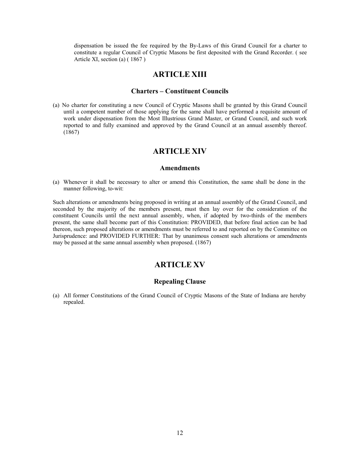dispensation be issued the fee required by the By-Laws of this Grand Council for a charter to constitute a regular Council of Cryptic Masons be first deposited with the Grand Recorder. ( see Article XI, section (a) ( 1867 )

#### **ARTICLE XIII**

#### **Charters – Constituent Councils**

(a) No charter for constituting a new Council of Cryptic Masons shall be granted by this Grand Council until a competent number of those applying for the same shall have performed a requisite amount of work under dispensation from the Most Illustrious Grand Master, or Grand Council, and such work reported to and fully examined and approved by the Grand Council at an annual assembly thereof. (1867)

#### **ARTICLE XIV**

#### **Amendments**

(a) Whenever it shall be necessary to alter or amend this Constitution, the same shall be done in the manner following, to-wit:

Such alterations or amendments being proposed in writing at an annual assembly of the Grand Council, and seconded by the majority of the members present, must then lay over for the consideration of the constituent Councils until the next annual assembly, when, if adopted by two-thirds of the members present, the same shall become part of this Constitution: PROVIDED, that before final action can be had thereon, such proposed alterations or amendments must be referred to and reported on by the Committee on Jurisprudence: and PROVIDED FURTHER: That by unanimous consent such alterations or amendments may be passed at the same annual assembly when proposed. (1867)

#### **ARTICLE XV**

#### **Repealing Clause**

(a) All former Constitutions of the Grand Council of Cryptic Masons of the State of Indiana are hereby repealed.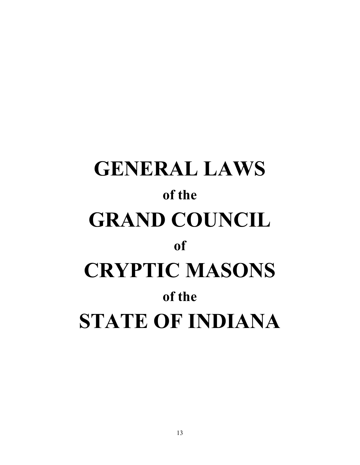## **GENERAL LAWS of the GRAND COUNCIL of CRYPTIC MASONS of the STATE OF INDIANA**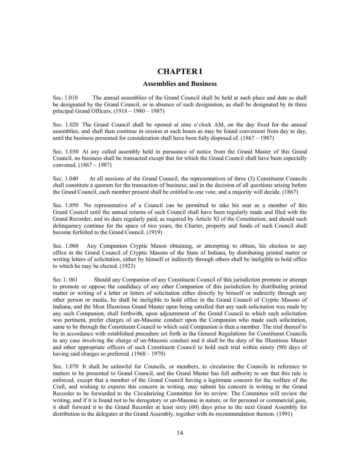#### **CHAPTER I**

#### **Assemblies and Business**

Sec. 1.010 The annual assemblies of the Grand Council shall be held at such place and date as shall be designated by the Grand Council, or in absence of such designation, as shall be designated by its three principal Grand Officers. (1918 – 1980 – 1987)

Sec. 1.020 The Grand Council shall be opened at nine o'clock AM, on the day fixed for the annual assemblies, and shall then continue in session at such hours as may be found convenient from day to day, until the business presented for consideration shall have been fully disposed of. (1867 – 1987)

Sec. 1.030 At any called assembly held in pursuance of notice from the Grand Master of this Grand Council, no business shall be transacted except that for which the Grand Council shall have been especially convened. (1867 – 1987)

Sec. 1.040 At all sessions of the Grand Council, the representatives of three (3) Constituent Councils shall constitute a quorum for the transaction of business; and in the decision of all questions arising before the Grand Council, each member present shall be entitled to one vote, and a majority will decide. (1867)

Sec. 1.050 No representative of a Council can be permitted to take his seat as a member of this Grand Council until the annual returns of such Council shall have been regularly made and filed with the Grand Recorder, and its dues regularly paid, as required by Article XI of the Constitution; and should such delinquency continue for the space of two years, the Charter, property and funds of such Council shall become forfeited to the Grand Council. (1919)

Sec. 1.060 Any Companion Cryptic Mason obtaining, or attempting to obtain, his election to any office in the Grand Council of Cryptic Masons of the State of Indiana, by distributing printed matter or writing letters of solicitation, either by himself or indirectly through others shall be ineligible to hold office to which he may be elected. (1923)

Sec 1. 061 Should any Companion of any Constituent Council of this jurisdiction promote or attempt to promote or oppose the candidacy of any other Companion of this jurisdiction by distributing printed matter or writing of a letter or letters of solicitation either directly by himself or indirectly through any other person or media, he shall be ineligible to hold office in the Grand Council of Cryptic Masons of Indiana, and the Most Illustrious Grand Master upon being satisfied that any such solicitation was made by any such Companion, shall forthwith, upon adjournment of the Grand Council to which such solicitation was pertinent, prefer charges of un-Masonic conduct upon the Companion who made such solicitation, same to be through the Constituent Council to which said Companion is then a member. The trial thereof to be in accordance with established procedure set forth in the General Regulations for Constituent Councils in any case involving the charge of un-Masonic conduct and it shall be the duty of the Illustrious Master and other appropriate officers of such Constituent Council to hold such trial within ninety (90) days of having said charges so preferred.  $(1968 - 1979)$ 

Sec. 1.070 It shall be unlawful for Councils, or members, to circularize the Councils in reference to matters to be presented to Grand Council, and the Grand Master has full authority to see that this rule is enforced, except that a member of the Grand Council having a legitimate concern for the welfare of the Craft, and wishing to express this concern in writing, may submit his concern in writing to the Grand Recorder to be forwarded to the Circularizing Committee for its review. The Committee will review the writing, and if it is found not to be derogatory or un-Masonic in nature, or for personal or commercial gain, it shall forward it to the Grand Recorder at least sixty (60) days prior to the next Grand Assembly for distribution to the delegates at the Grand Assembly, together with its recommendation thereon. (1991)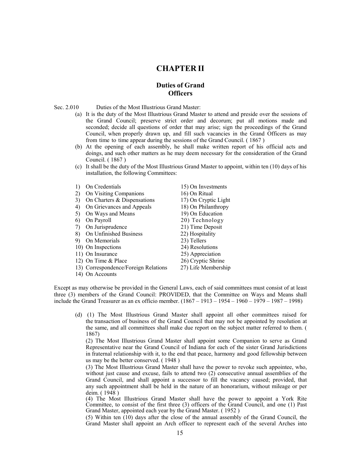#### **CHAPTER II**

#### **Duties of Grand Officers**

#### Sec. 2.010 Duties of the Most Illustrious Grand Master:

- (a) It is the duty of the Most Illustrious Grand Master to attend and preside over the sessions of the Grand Council; preserve strict order and decorum; put all motions made and seconded; decide all questions of order that may arise; sign the proceedings of the Grand Council, when properly drawn up, and fill such vacancies in the Grand Officers as may from time to time appear during the sessions of the Grand Council. ( 1867 )
- (b) At the opening of each assembly, he shall make written report of his official acts and doings, and such other matters as he may deem necessary for the consideration of the Grand Council. ( 1867 )
- (c) It shall be the duty of the Most Illustrious Grand Master to appoint, within ten (10) days of his installation, the following Committees:

| $\left( \right)$  | On Credentials                       | 15) On Investments   |
|-------------------|--------------------------------------|----------------------|
| 2)                | On Visiting Companions               | 16) On Ritual        |
| 3)                | On Charters & Dispensations          | 17) On Cryptic Light |
| 4)                | On Grievances and Appeals            | 18) On Philanthropy  |
| 5)                | On Ways and Means                    | 19) On Education     |
| $\lceil 6 \rceil$ | On Payroll                           | 20) Technology       |
| 7)                | On Jurisprudence                     | 21) Time Deposit     |
| 8)                | On Unfinished Business               | 22) Hospitality      |
| 9)                | On Memorials                         | 23) Tellers          |
|                   | 10) On Inspections                   | 24) Resolutions      |
|                   | 11) On Insurance                     | 25) Appreciation     |
|                   | 12) On Time & Place                  | 26) Cryptic Shrine   |
|                   | 13) Correspondence/Foreign Relations | 27) Life Membership  |

14) On Accounts

Except as may otherwise be provided in the General Laws, each of said committees must consist of at least three (3) members of the Grand Council: PROVIDED, that the Committee on Ways and Means shall include the Grand Treasurer as an ex officio member. (1867 – 1913 – 1954 – 1960 – 1979 – 1987 – 1998)

(d) (1) The Most Illustrious Grand Master shall appoint all other committees raised for the transaction of business of the Grand Council that may not be appointed by resolution at the same, and all committees shall make due report on the subject matter referred to them. ( 1867)

(2) The Most Illustrious Grand Master shall appoint some Companion to serve as Grand Representative near the Grand Council of Indiana for each of the sister Grand Jurisdictions in fraternal relationship with it, to the end that peace, harmony and good fellowship between us may be the better conserved. ( 1948 )

(3) The Most Illustrious Grand Master shall have the power to revoke such appointee, who, without just cause and excuse, fails to attend two (2) consecutive annual assemblies of the Grand Council, and shall appoint a successor to fill the vacancy caused; provided, that any such appointment shall be held in the nature of an honorarium, without mileage or per deim. ( 1948 )

(4) The Most Illustrious Grand Master shall have the power to appoint a York Rite Committee, to consist of the first three (3) officers of the Grand Council, and one (1) Past Grand Master, appointed each year by the Grand Master. ( 1952 )

(5) Within ten (10) days after the close of the annual assembly of the Grand Council, the Grand Master shall appoint an Arch officer to represent each of the several Arches into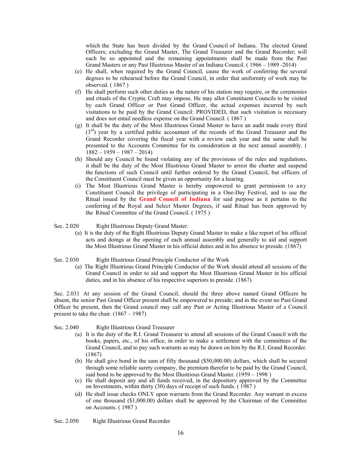which the State has been divided by the Grand Council of Indiana. The elected Grand Officers; excluding the Grand Master, The Grand Treasurer and the Grand Recorder; will each be so appointed and the remaining appointments shall be made from the Past Grand Masters or any Past Illustrious Master of an Indiana Council. ( 1966 – 1989 -2014)

- (e) He shall, when required by the Grand Council, cause the work of conferring the several degrees to be rehearsed before the Grand Council, in order that uniformity of work may be observed. ( 1867 )
- (f) He shall perform such other duties as the nature of his station may require, or the ceremonies and rituals of the Cryptic Craft may impose. He may allot Constituent Councils to be visited by each Grand Officer or Past Grand Officer, the actual expenses incurred by such visitations to be paid by the Grand Council: PROVIDED, that such visitation is necessary and does not entail needless expense on the Grand Council. ( 1867 )
- (g) It shall be the duty of the Most Illustrious Grand Master to have an audit made every third  $(3<sup>rd</sup>)$  year by a certified public accountant of the records of the Grand Treasurer and the Grand Recorder covering the fiscal year with a review each year and the same shall be presented to the Accounts Committee for its consideration at the next annual assembly. (  $1882 - 1959 - 1987 - 2014$
- (h) Should any Council be found violating any of the provisions of the rules and regulations, it shall be the duty of the Most Illustrious Grand Master to arrest the charter and suspend the functions of such Council until further ordered by the Grand Council, but officers of the Constituent Council must be given an opportunity for a hearing.
- (i) The Most Illustrious Grand Master is hereby empowered to grant permission to any Constituent Council the privilege of participating in a One-Day Festival, and to use the Ritual issued by the **Grand Council of Indiana** for said purpose as it pertains to the conferring of the Royal and Select Master Degrees, if said Ritual has been approved by the Ritual Committee of the Grand Council. ( 1975 )

#### Sec. 2.020 Right Illustrious Deputy Grand Master.

- (a) It is the duty of the Right Illustrious Deputy Grand Master to make a like report of his official acts and doings at the opening of each annual assembly and generally to aid and support the Most Illustrious Grand Master in his official duties and in his absence to preside. (1867)
- Sec. 2.030 Right Illustrious Grand Principle Conductor of the Work
	- (a) The Right Illustrious Grand Principle Conductor of the Work should attend all sessions of the Grand Council in order to aid and support the Most Illustrious Grand Master in his official duties, and in his absence of his respective superiors to preside. (1867)

Sec. 2.031 At any session of the Grand Council, should the three above named Grand Officers be absent, the senior Past Grand Officer present shall be empowered to preside; and in the event no Past Grand Officer be present, then the Grand council may call any Past or Acting Illustrious Master of a Council present to take the chair.  $(1867 - 1987)$ 

- Sec. 2.040 Right Illustrious Grand Treasurer
	- (a) It is the duty of the R.I. Grand Treasurer to attend all sessions of the Grand Council with the books, papers, etc., of his office, in order to make a settlement with the committees of the Grand Council, and to pay such warrants as may be drawn on him by the R.I. Grand Recorder. (1867)
	- (b) He shall give bond in the sum of fifty thousand (\$50,000.00) dollars, which shall be secured through some reliable surety company, the premium therefor to be paid by the Grand Council, said bond to be approved by the Most Illustrious Grand Master. (1959 – 1998 )
	- (c) He shall deposit any and all funds received, in the depository approved by the Committee on Investments, within thirty (30) days of receipt of such funds. ( 1987 )
	- (d) He shall issue checks ONLY upon warrants from the Grand Recorder. Any warrant in excess of one thousand (\$1,000.00) dollars shall be approved by the Chairman of the Committee on Accounts. ( 1987 )
- Sec. 2.050 Right Illustrious Grand Recorder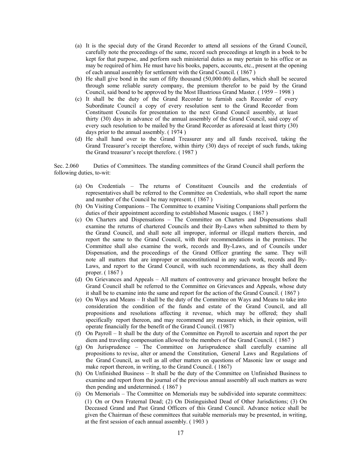- (a) It is the special duty of the Grand Recorder to attend all sessions of the Grand Council, carefully note the proceedings of the same, record such proceedings at length in a book to be kept for that purpose, and perform such ministerial duties as may pertain to his office or as may be required of him. He must have his books, papers, accounts, etc., present at the opening of each annual assembly for settlement with the Grand Council. ( 1867 )
- (b) He shall give bond in the sum of fifty thousand (50,000.00) dollars, which shall be secured through some reliable surety company, the premium therefor to be paid by the Grand Council, said bond to be approved by the Most Illustrious Grand Master. ( 1959 – 1998 )
- (c) It shall be the duty of the Grand Recorder to furnish each Recorder of every Subordinate Council a copy of every resolution sent to the Grand Recorder from Constituent Councils for presentation to the next Grand Council assembly, at least thirty (30) days in advance of the annual assembly of the Grand Council, said copy of every such resolution to be mailed by the Grand Recorder as aforesaid at least thirty (30) days prior to the annual assembly. ( 1974 )
- (d) He shall hand over to the Grand Treasurer any and all funds received, taking the Grand Treasurer's receipt therefore, within thirty (30) days of receipt of such funds, taking the Grand treasurer's receipt therefore. ( 1987 )

Sec. 2.060 Duties of Committees. The standing committees of the Grand Council shall perform the following duties, to-wit:

- (a) On Credentials The returns of Constituent Councils and the credentials of representatives shall be referred to the Committee on Credentials, who shall report the name and number of the Council he may represent. ( 1867 )
- (b) On Visiting Companions The Committee to examine Visiting Companions shall perform the duties of their appointment according to established Masonic usages. ( 1867 )
- (c) On Charters and Dispensations The Committee on Charters and Dispensations shall examine the returns of chartered Councils and their By-Laws when submitted to them by the Grand Council, and shall note all improper, informal or illegal matters therein, and report the same to the Grand Council, with their recommendations in the premises. The Committee shall also examine the work, records and By-Laws, and of Councils under Dispensation, and the proceedings of the Grand Officer granting the same. They will note all matters that are improper or unconstitutional in any such work, records and By-Laws, and report to the Grand Council, with such recommendations, as they shall deem proper. ( 1867 )
- (d) On Grievances and Appeals All matters of controversy and grievance brought before the Grand Council shall be referred to the Committee on Grievances and Appeals, whose duty it shall be to examine into the same and report for the action of the Grand Council. ( 1867 )
- (e) On Ways and Means It shall be the duty of the Committee on Ways and Means to take into consideration the condition of the funds and estate of the Grand Council, and all propositions and resolutions affecting it revenue, which may be offered; they shall specifically report thereon, and may recommend any measure which, in their opinion, will operate financially for the benefit of the Grand Council. (1987)
- (f) On Payroll It shall be the duty of the Committee on Payroll to ascertain and report the per diem and traveling compensation allowed to the members of the Grand Council. ( 1867 )
- (g) On Jurisprudence The Committee on Jurisprudence shall carefully examine all propositions to revise, alter or amend the Constitution, General Laws and Regulations of the Grand Council, as well as all other matters on questions of Masonic law or usage and make report thereon, in writing, to the Grand Council. ( 1867)
- (h) On Unfinished Business It shall be the duty of the Committee on Unfinished Business to examine and report from the journal of the previous annual assembly all such matters as were then pending and undetermined. ( 1867 )
- (i) On Memorials The Committee on Memorials may be subdivided into separate committees: (1) On or Own Fraternal Dead; (2) On Distinguished Dead of Other Jurisdictions; (3) On Deceased Grand and Past Grand Officers of this Grand Council. Advance notice shall be given the Chairman of these committees that suitable memorials may be presented, in writing, at the first session of each annual assembly. ( 1903 )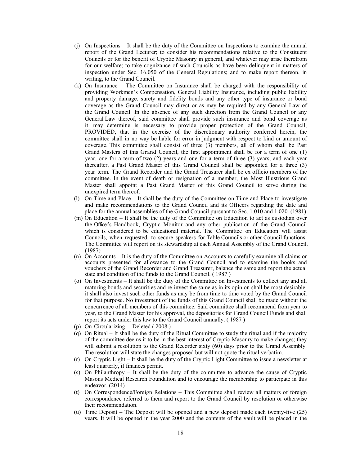- (j) On Inspections It shall be the duty of the Committee on Inspections to examine the annual report of the Grand Lecturer; to consider his recommendations relative to the Constituent Councils or for the benefit of Cryptic Masonry in general, and whatever may arise therefrom for our welfare; to take cognizance of such Councils as have been delinquent in matters of inspection under Sec. 16.050 of the General Regulations; and to make report thereon, in writing, to the Grand Council.
- (k) On Insurance The Committee on Insurance shall be charged with the responsibility of providing Workmen's Compensation, General Liability Insurance, including public liability and property damage, surety and fidelity bonds and any other type of insurance or bond coverage as the Grand Council may direct or as may be required by any General Law of the Grand Council. In the absence of any such direction from the Grand Council or any General Law thereof, said committee shall provide such insurance and bond coverage as it may determine is necessary to provide proper protection of the Grand Council; PROVIDED, that in the exercise of the discretionary authority conferred herein, the committee shall in no way be liable for error in judgment with respect to kind or amount of coverage. This committee shall consist of three (3) members, all of whom shall be Past Grand Masters of this Grand Council, the first appointment shall be for a term of one (1) year, one for a term of two (2) years and one for a term of three (3) years, and each year thereafter, a Past Grand Master of this Grand Council shall be appointed for a three (3) year term. The Grand Recorder and the Grand Treasurer shall be ex officio members of the committee. In the event of death or resignation of a member, the Most Illustrious Grand Master shall appoint a Past Grand Master of this Grand Council to serve during the unexpired term thereof.
- (l) On Time and Place It shall be the duty of the Committee on Time and Place to investigate and make recommendations to the Grand Council and its Officers regarding the date and place for the annual assemblies of the Grand Council pursuant to Sec. 1.010 and 1.020. (1981)
- (m) On Education It shall be the duty of the Committee on Education to act as custodian over the Officer's Handbook, Cryptic Monitor and any other publication of the Grand Council which is considered to be educational material. The Committee on Education will assist Councils, when requested, to secure speakers for Table Councils or other Council functions. The Committee will report on its stewardship at each Annual Assembly of the Grand Council. (1987)
- (n) On Accounts It is the duty of the Committee on Accounts to carefully examine all claims or accounts presented for allowance to the Grand Council and to examine the books and vouchers of the Grand Recorder and Grand Treasurer, balance the same and report the actual state and condition of the funds to the Grand Council. ( 1987 )
- (o) On Investments It shall be the duty of the Committee on Investments to collect any and all maturing bonds and securities and re-invest the same as in its opinion shall be most desirable: it shall also invest such other funds as may be from time to time voted by the Grand Council for that purpose. No investment of the funds of this Grand Council shall be made without the concurrence of all members of this committee. Said committee shall recommend from year to year, to the Grand Master for his approval, the depositories for Grand Council Funds and shall report its acts under this law to the Grand Council annually. ( 1987 )
- (p) On Circularizing Deleted ( 2008 )
- (q) On Ritual It shall be the duty of the Ritual Committee to study the ritual and if the majority of the committee deems it to be in the best interest of Cryptic Masonry to make changes; they will submit a resolution to the Grand Recorder sixty (60) days prior to the Grand Assembly. The resolution will state the changes proposed but will not quote the ritual verbatim.
- (r) On Cryptic Light It shall be the duty of the Cryptic Light Committee to issue a newsletter at least quarterly, if finances permit.
- (s) On Philanthropy It shall be the duty of the committee to advance the cause of Cryptic Masons Medical Research Foundation and to encourage the membership to participate in this endeavor. (2014)
- (t) On Correspondence/Foreign Relations This Committee shall review all matters of foreign correspondence referred to them and report to the Grand Council by resolution or otherwise their recommendation.
- (u) Time Deposit The Deposit will be opened and a new deposit made each twenty-five (25) years. It will be opened in the year 2000 and the contents of the vault will be placed in the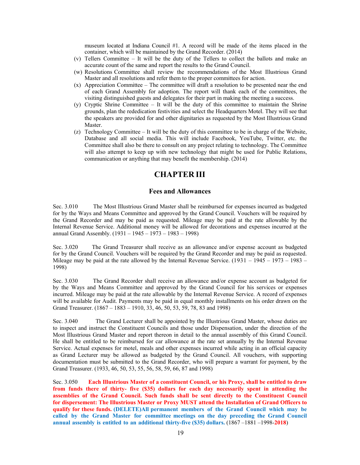museum located at Indiana Council #1. A record will be made of the items placed in the container, which will be maintained by the Grand Recorder. (2014)

- (v) Tellers Committee It will be the duty of the Tellers to collect the ballots and make an accurate count of the same and report the results to the Grand Council.
- (w) Resolutions Committee shall review the recommendations of the Most Illustrious Grand Master and all resolutions and refer them to the proper committees for action.
- (x) Appreciation Committee The committee will draft a resolution to be presented near the end of each Grand Assembly for adoption. The report will thank each of the committees, the visiting distinguished guests and delegates for their part in making the meeting a success.
- (y) Cryptic Shrine Committee It will be the duty of this committee to maintain the Shrine grounds, plan the rededication festivities and select the Headquarters Motel. They will see that the speakers are provided for and other dignitaries as requested by the Most Illustrious Grand Master.
- (z) Technology Committee It will be the duty of this committee to be in charge of the Website, Database and all social media. This will include Facebook, YouTube, Twitter, etc. the Committee shall also be there to consult on any project relating to technology. The Committee will also attempt to keep up with new technology that might be used for Public Relations, communication or anything that may benefit the membership. (2014)

#### **CHAPTER III**

#### **Fees and Allowances**

Sec. 3.010 The Most Illustrious Grand Master shall be reimbursed for expenses incurred as budgeted for by the Ways and Means Committee and approved by the Grand Council. Vouchers will be required by the Grand Recorder and may be paid as requested. Mileage may be paid at the rate allowable by the Internal Revenue Service. Additional money will be allowed for decorations and expenses incurred at the annual Grand Assembly. (1931 – 1945 – 1973 – 1983 – 1998)

Sec. 3.020 The Grand Treasurer shall receive as an allowance and/or expense account as budgeted for by the Grand Council. Vouchers will be required by the Grand Recorder and may be paid as requested. Mileage may be paid at the rate allowed by the Internal Revenue Service.  $(1931 - 1945 - 1973 - 1983 - 1989)$ 1998)

Sec. 3.030 The Grand Recorder shall receive an allowance and/or expense account as budgeted for by the Ways and Means Committee and approved by the Grand Council for his services or expenses incurred. Mileage may be paid at the rate allowable by the Internal Revenue Service. A record of expenses will be available for Audit. Payments may be paid in equal monthly installments on his order drawn on the Grand Treasurer. (1867 – 1883 – 1910, 33, 46, 50, 53, 59, 78, 83 and 1998)

Sec. 3.040 The Grand Lecturer shall be appointed by the Illustrious Grand Master, whose duties are to inspect and instruct the Constituent Councils and those under Dispensation, under the direction of the Most Illustrious Grand Master and report thereon in detail to the annual assembly of this Grand Council. He shall be entitled to be reimbursed for car allowance at the rate set annually by the Internal Revenue Service. Actual expenses for motel, meals and other expenses incurred while acting in an official capacity as Grand Lecturer may be allowed as budgeted by the Grand Council. All vouchers, with supporting documentation must be submitted to the Grand Recorder, who will prepare a warrant for payment, by the Grand Treasurer. (1933, 46, 50, 53, 55, 56, 58, 59, 66, 87 and 1998)

Sec. 3.050 **Each Illustrious Master of a constituent Council, or his Proxy, shall be entitled to draw from funds there of thirty- five (\$35) dollars for each day necessarily spent in attending the assemblies of the Grand Council. Such funds shall be sent directly to the Constituent Council for dispersement: The Illustrious Master or Proxy MUST attend the Installation of Grand Officers to qualify for these funds. (DELETE)All permanent members of the Grand Council which may be called by the Grand Master for committee meetings on the day preceding the Grand Council annual assembly is entitled to an additional thirty-five (\$35) dollars.** (1867 –1881 –1998-**2018**)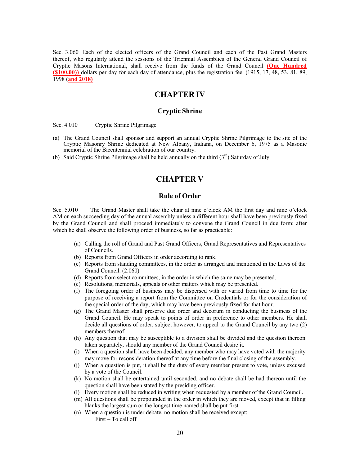Sec. 3.060 Each of the elected officers of the Grand Council and each of the Past Grand Masters thereof, who regularly attend the sessions of the Triennial Assemblies of the General Grand Council of Cryptic Masons International, shall receive from the funds of the Grand Council **(One Hundred (\$100.00))** dollars per day for each day of attendance, plus the registration fee. (1915, 17, 48, 53, 81, 89, 1998 (**and 2018)**

#### **CHAPTER IV**

#### **Cryptic Shrine**

Sec. 4.010 Cryptic Shrine Pilgrimage

- (a) The Grand Council shall sponsor and support an annual Cryptic Shrine Pilgrimage to the site of the Cryptic Masonry Shrine dedicated at New Albany, Indiana, on December 6, 1975 as a Masonic memorial of the Bicentennial celebration of our country.
- (b) Said Cryptic Shrine Pilgrimage shall be held annually on the third  $(3<sup>rd</sup>)$  Saturday of July.

#### **CHAPTER V**

#### **Rule of Order**

Sec. 5.010 The Grand Master shall take the chair at nine o'clock AM the first day and nine o'clock AM on each succeeding day of the annual assembly unless a different hour shall have been previously fixed by the Grand Council and shall proceed immediately to convene the Grand Council in due form: after which he shall observe the following order of business, so far as practicable:

- (a) Calling the roll of Grand and Past Grand Officers, Grand Representatives and Representatives of Councils.
- (b) Reports from Grand Officers in order according to rank.
- (c) Reports from standing committees, in the order as arranged and mentioned in the Laws of the Grand Council. (2.060)
- (d) Reports from select committees, in the order in which the same may be presented.
- (e) Resolutions, memorials, appeals or other matters which may be presented.
- (f) The foregoing order of business may be dispersed with or varied from time to time for the purpose of receiving a report from the Committee on Credentials or for the consideration of the special order of the day, which may have been previously fixed for that hour.
- (g) The Grand Master shall preserve due order and decorum in conducting the business of the Grand Council. He may speak to points of order in preference to other members. He shall decide all questions of order, subject however, to appeal to the Grand Council by any two (2) members thereof.
- (h) Any question that may be susceptible to a division shall be divided and the question thereon taken separately, should any member of the Grand Council desire it.
- (i) When a question shall have been decided, any member who may have voted with the majority may move for reconsideration thereof at any time before the final closing of the assembly.
- (j) When a question is put, it shall be the duty of every member present to vote, unless excused by a vote of the Council.
- (k) No motion shall be entertained until seconded, and no debate shall be had thereon until the question shall have been stated by the presiding officer.
- (l) Every motion shall be reduced in writing when requested by a member of the Grand Council.
- (m) All questions shall be propounded in the order in which they are moved, except that in filling blanks the largest sum or the longest time named shall be put first.
- (n) When a question is under debate, no motion shall be received except: First – To call off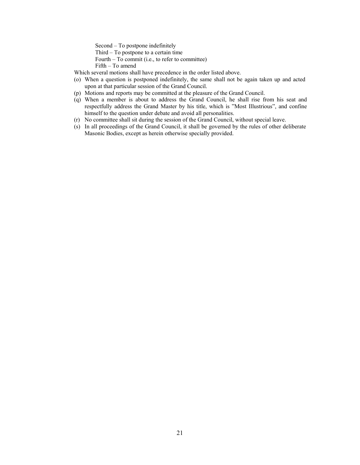Second – To postpone indefinitely

- Third To postpone to a certain time
- Fourth To commit (i.e., to refer to committee)

Fifth – To amend

- Which several motions shall have precedence in the order listed above.
- (o) When a question is postponed indefinitely, the same shall not be again taken up and acted upon at that particular session of the Grand Council.
- (p) Motions and reports may be committed at the pleasure of the Grand Council.
- (q) When a member is about to address the Grand Council, he shall rise from his seat and respectfully address the Grand Master by his title, which is "Most Illustrious", and confine himself to the question under debate and avoid all personalities.
- (r) No committee shall sit during the session of the Grand Council, without special leave.
- (s) In all proceedings of the Grand Council, it shall be governed by the rules of other deliberate Masonic Bodies, except as herein otherwise specially provided.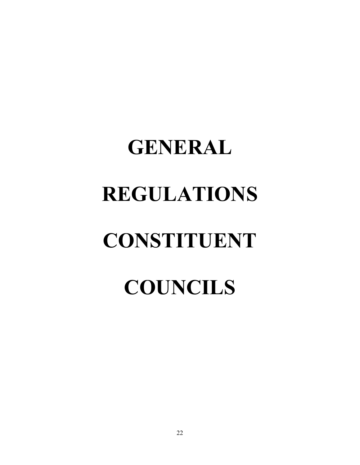## **GENERAL REGULATIONS CONSTITUENT COUNCILS**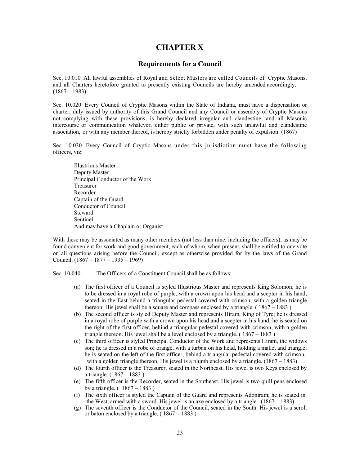#### **CHAPTER X**

#### **Requirements for a Council**

Sec. 10.010 All lawful assemblies of Royal and Select Masters are called Councils of Cryptic Masons, and all Charters heretofore granted to presently existing Councils are hereby amended accordingly.  $(1867 - 1983)$ 

Sec. 10.020 Every Council of Cryptic Masons within the State of Indiana, must have a dispensation or charter, duly issued by authority of this Grand Council and any Council or assembly of Cryptic Masons not complying with these provisions, is hereby declared irregular and clandestine; and all Masonic intercourse or communication whatever, either public or private, with such unlawful and clandestine association, or with any member thereof, is hereby strictly forbidden under penalty of expulsion. (1867)

Sec. 10.030 Every Council of Cryptic Masons under this jurisdiction must have the following officers, viz:

Illustrious Master Deputy Master Principal Conductor of the Work Treasurer Recorder Captain of the Guard Conductor of Council Steward Sentinel And may have a Chaplain or Organist

With these may be associated as many other members (not less than nine, including the officers), as may be found convenient for work and good government, each of whom, when present, shall be entitled to one vote on all questions arising before the Council, except as otherwise provided for by the laws of the Grand Council. (1867 – 1877 – 1935 – 1969)

Sec. 10.040 The Officers of a Constituent Council shall be as follows:

- (a) The first officer of a Council is styled Illustrious Master and represents King Solomon; he is to be dressed in a royal robe of purple, with a crown upon his head and a scepter in his hand, seated in the East behind a triangular pedestal covered with crimson, with a golden triangle thereon. His jewel shall be a square and compass enclosed by a triangle. ( 1867 – 1883 )
- (b) The second officer is styled Deputy Master and represents Hiram, King of Tyre; he is dressed in a royal robe of purple with a crown upon his head and a scepter in his hand; he is seated on the right of the first officer, behind a triangular pedestal covered with crimson, with a golden triangle thereon. His jewel shall be a level enclosed by a triangle.  $(1867 - 1883)$
- (c) The third officer is styled Principal Conductor of the Work and represents Hiram, the widows son; he is dressed in a robe of orange, with a turban on his head, holding a mallet and triangle; he is seated on the left of the first officer, behind a triangular pedestal covered with crimson, with a golden triangle thereon. His jewel is a plumb enclosed by a triangle. (1867 – 1883)
- (d) The fourth officer is the Treasurer, seated in the Northeast. His jewel is two Keys enclosed by a triangle. (1867 – 1883 )
- (e) The fifth officer is the Recorder, seated in the Southeast. His jewel is two quill pens enclosed by a triangle.  $(1867 - 1883)$
- (f) The sixth officer is styled the Captain of the Guard and represents Adoniram; he is seated in the West, armed with a sword. His jewel is an axe enclosed by a triangle. (1867 – 1883)
- (g) The seventh officer is the Conductor of the Council, seated in the South. His jewel is a scroll or baton enclosed by a triangle. ( 1867 - 1883 )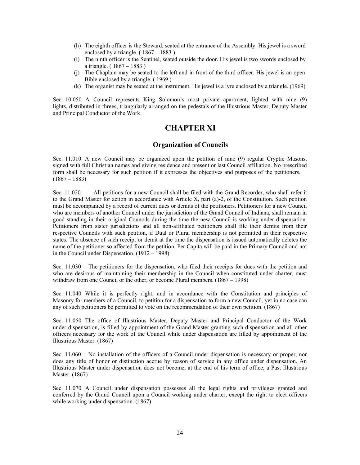- (h) The eighth officer is the Steward, seated at the entrance of the Assembly. His jewel is a sword enclosed by a triangle.  $(1867 - 1883)$
- (i) The ninth officer is the Sentinel, seated outside the door. His jewel is two swords enclosed by a triangle. ( 1867 – 1883 )
- (j) The Chaplain may be seated to the left and in front of the third officer. His jewel is an open Bible enclosed by a triangle. ( 1969 )
- (k) The organist may be seated at the instrument. His jewel is a lyre enclosed by a triangle. (1969)

Sec. 10.050 A Council represents King Solomon's most private apartment, lighted with nine (9) lights, distributed in threes, triangularly arranged on the pedestals of the Illustrious Master, Deputy Master and Principal Conductor of the Work.

#### **CHAPTER XI**

#### **Organization of Councils**

Sec. 11.010 A new Council may be organized upon the petition of nine (9) regular Cryptic Masons, signed with full Christian names and giving residence and present or last Council affiliation. No prescribed form shall be necessary for such petition if it expresses the objectives and purposes of the petitioners.  $(1867 - 1883)$ 

Sec. 11.020 All petitions for a new Council shall be filed with the Grand Recorder, who shall refer it to the Grand Master for action in accordance with Article X, part (a)-2, of the Constitution. Such petition must be accompanied by a record of current dues or demits of the petitioners. Petitioners for a new Council who are members of another Council under the jurisdiction of the Grand Council of Indiana, shall remain in good standing in their original Councils during the time the new Council is working under dispensation. Petitioners from sister jurisdictions and all non-affiliated petitioners shall file their demits from their respective Councils with such petition, if Dual or Plural membership is not permitted in their respective states. The absence of such receipt or demit at the time the dispensation is issued automatically deletes the name of the petitioner so affected from the petition. Per Capita will be paid in the Primary Council and not in the Council under Dispensation. (1912 – 1998)

Sec. 11.030 The petitioners for the dispensation, who filed their receipts for dues with the petition and who are desirous of maintaining their membership in the Council when constituted under charter, must withdraw from one Council or the other, or become Plural members.  $(1867 - 1998)$ 

Sec. 11.040 While it is perfectly right, and in accordance with the Constitution and principles of Masonry for members of a Council, to petition for a dispensation to form a new Council, yet in no case can any of such petitioners be permitted to vote on the recommendation of their own petition. (1867)

Sec. 11.050 The office of Illustrious Master, Deputy Master and Principal Conductor of the Work under dispensation, is filled by appointment of the Grand Master granting such dispensation and all other officers necessary for the work of the Council while under dispensation are filled by appointment of the Illustrious Master. (1867)

Sec. 11.060 No installation of the officers of a Council under dispensation is necessary or proper, nor does any title of honor or distinction accrue by reason of service in any office under dispensation. An Illustrious Master under dispensation does not become, at the end of his term of office, a Past Illustrious Master. (1867)

Sec. 11.070 A Council under dispensation possesses all the legal rights and privileges granted and conferred by the Grand Council upon a Council working under charter, except the right to elect officers while working under dispensation.  $(1867)$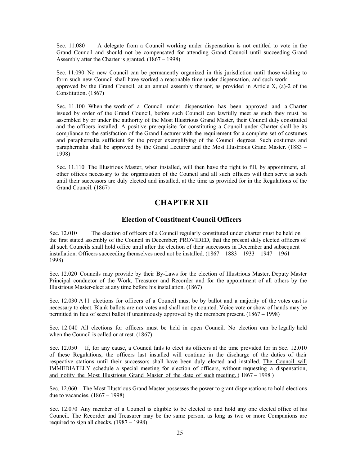Sec. 11.080 A delegate from a Council working under dispensation is not entitled to vote in the Grand Council and should not be compensated for attending Grand Council until succeeding Grand Assembly after the Charter is granted. (1867 – 1998)

Sec. 11.090 No new Council can be permanently organized in this jurisdiction until those wishing to form such new Council shall have worked a reasonable time under dispensation, and such work approved by the Grand Council, at an annual assembly thereof, as provided in Article  $X$ , (a)-2 of the Constitution. (1867)

Sec. 11.100 When the work of a Council under dispensation has been approved and a Charter issued by order of the Grand Council, before such Council can lawfully meet as such they must be assembled by or under the authority of the Most Illustrious Grand Master, their Council duly constituted and the officers installed. A positive prerequisite for constituting a Council under Charter shall be its compliance to the satisfaction of the Grand Lecturer with the requirement for a complete set of costumes and paraphernalia sufficient for the proper exemplifying of the Council degrees. Such costumes and paraphernalia shall be approved by the Grand Lecturer and the Most Illustrious Grand Master. (1883 – 1998)

Sec. 11.110 The Illustrious Master, when installed, will then have the right to fill, by appointment, all other offices necessary to the organization of the Council and all such officers will then serve as such until their successors are duly elected and installed, at the time as provided for in the Regulations of the Grand Council. (1867)

#### **CHAPTER XII**

#### **Election of Constituent Council Officers**

Sec. 12.010 The election of officers of a Council regularly constituted under charter must be held on the first stated assembly of the Council in December; PROVIDED, that the present duly elected officers of all such Councils shall hold office until after the election of their successors in December and subsequent installation. Officers succeeding themselves need not be installed. (1867 – 1883 – 1933 – 1947 – 1961 – 1998)

Sec. 12.020 Councils may provide by their By-Laws for the election of Illustrious Master, Deputy Master Principal conductor of the Work, Treasurer and Recorder and for the appointment of all others by the Illustrious Master-elect at any time before his installation. (1867)

Sec. 12.030 A 11 elections for officers of a Council must be by ballot and a majority of the votes cast is necessary to elect. Blank ballots are not votes and shall not be counted. Voice vote or show of hands may be permitted in lieu of secret ballot if unanimously approved by the members present. (1867 – 1998)

Sec. 12.040 All elections for officers must be held in open Council. No election can be legally held when the Council is called or at rest. (1867)

Sec. 12.050 If, for any cause, a Council fails to elect its officers at the time provided for in Sec. 12.010 of these Regulations, the officers last installed will continue in the discharge of the duties of their respective stations until their successors shall have been duly elected and installed. The Council will IMMEDIATELY schedule a special meeting for election of officers, without requesting a dispensation, and notify the Most Illustrious Grand Master of the date of such meeting.  $( 1867 - 1998 )$ 

Sec. 12.060 The Most Illustrious Grand Master possesses the power to grant dispensations to hold elections due to vacancies.  $(1867 - 1998)$ 

Sec. 12.070 Any member of a Council is eligible to be elected to and hold any one elected office of his Council. The Recorder and Treasurer may be the same person, as long as two or more Companions are required to sign all checks. (1987 – 1998)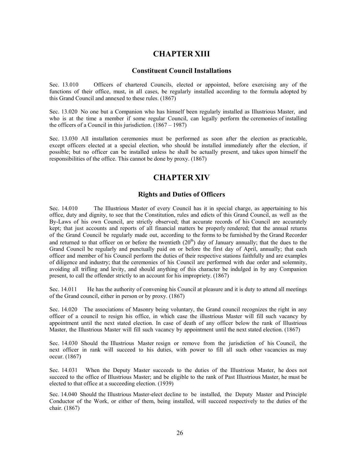#### **CHAPTER XIII**

#### **Constituent Council Installations**

Sec. 13.010 Officers of chartered Councils, elected or appointed, before exercising any of the functions of their office, must, in all cases, be regularly installed according to the formula adopted by this Grand Council and annexed to these rules. (1867)

Sec. 13.020 No one but a Companion who has himself been regularly installed as Illustrious Master, and who is at the time a member if some regular Council, can legally perform the ceremonies of installing the officers of a Council in this jurisdiction.  $(1867 - 1987)$ 

Sec. 13.030 All installation ceremonies must be performed as soon after the election as practicable, except officers elected at a special election, who should be installed immediately after the election, if possible; but no officer can be installed unless he shall be actually present, and takes upon himself the responsibilities of the office. This cannot be done by proxy. (1867)

#### **CHAPTER XIV**

#### **Rights and Duties of Officers**

Sec. 14.010 The Illustrious Master of every Council has it in special charge, as appertaining to his office, duty and dignity, to see that the Constitution, rules and edicts of this Grand Council, as well as the By-Laws of his own Council, are strictly observed; that accurate records of his Council are accurately kept; that just accounts and reports of all financial matters be properly rendered; that the annual returns of the Grand Council be regularly made out, according to the forms to be furnished by the Grand Recorder and returned to that officer on or before the twentieth  $(20<sup>th</sup>)$  day of January annually; that the dues to the Grand Council be regularly and punctually paid on or before the first day of April, annually; that each officer and member of his Council perform the duties of their respective stations faithfully and are examples of diligence and industry; that the ceremonies of his Council are performed with due order and solemnity, avoiding all trifling and levity, and should anything of this character be indulged in by any Companion present, to call the offender strictly to an account for his impropriety. (1867)

Sec. 14.011 He has the authority of convening his Council at pleasure and it is duty to attend all meetings of the Grand council, either in person or by proxy. (1867)

Sec. 14.020 The associations of Masonry being voluntary, the Grand council recognizes the right in any officer of a council to resign his office, in which case the illustrious Master will fill such vacancy by appointment until the next stated election. In case of death of any officer below the rank of Illustrious Master, the Illustrious Master will fill such vacancy by appointment until the next stated election. (1867)

Sec. 14.030 Should the Illustrious Master resign or remove from the jurisdiction of his Council, the next officer in rank will succeed to his duties, with power to fill all such other vacancies as may occur. (1867)

Sec. 14.031 When the Deputy Master succeeds to the duties of the Illustrious Master, he does not succeed to the office of Illustrious Master; and be eligible to the rank of Past Illustrious Master, he must be elected to that office at a succeeding election. (1939)

Sec. 14.040 Should the Illustrious Master-elect decline to be installed, the Deputy Master and Principle Conductor of the Work, or either of them, being installed, will succeed respectively to the duties of the chair. (1867)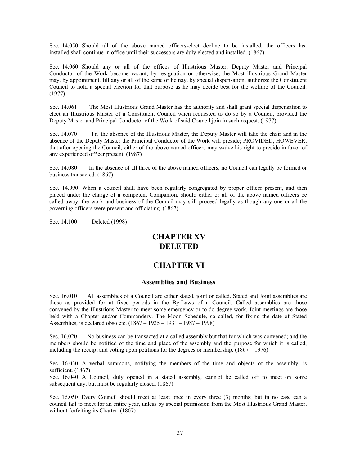Sec. 14.050 Should all of the above named officers-elect decline to be installed, the officers last installed shall continue in office until their successors are duly elected and installed. (1867)

Sec. 14.060 Should any or all of the offices of Illustrious Master, Deputy Master and Principal Conductor of the Work become vacant, by resignation or otherwise, the Most illustrious Grand Master may, by appointment, fill any or all of the same or he nay, by special dispensation, authorize the Constituent Council to hold a special election for that purpose as he may decide best for the welfare of the Council. (1977)

Sec. 14.061 The Most Illustrious Grand Master has the authority and shall grant special dispensation to elect an Illustrious Master of a Constituent Council when requested to do so by a Council, provided the Deputy Master and Principal Conductor of the Work of said Council join in such request. (1977)

Sec. 14.070 In the absence of the Illustrious Master, the Deputy Master will take the chair and in the absence of the Deputy Master the Principal Conductor of the Work will preside; PROVIDED, HOWEVER, that after opening the Council, either of the above named officers may waive his right to preside in favor of any experienced officer present. (1987)

Sec. 14.080 In the absence of all three of the above named officers, no Council can legally be formed or business transacted. (1867)

Sec. 14.090 When a council shall have been regularly congregated by proper officer present, and then placed under the charge of a competent Companion, should either or all of the above named officers be called away, the work and business of the Council may still proceed legally as though any one or all the governing officers were present and officiating. (1867)

Sec. 14.100 Deleted (1998)

#### **CHAPTER XV DELETED**

#### **CHAPTER VI**

#### **Assemblies and Business**

Sec. 16.010 All assemblies of a Council are either stated, joint or called. Stated and Joint assemblies are those as provided for at fixed periods in the By-Laws of a Council. Called assemblies are those convened by the Illustrious Master to meet some emergency or to do degree work. Joint meetings are those held with a Chapter and/or Commandery. The Moon Schedule, so called, for fixing the date of Stated Assemblies, is declared obsolete. (1867 – 1925 – 1931 – 1987 – 1998)

Sec. 16.020 No business can be transacted at a called assembly but that for which was convened; and the members should be notified of the time and place of the assembly and the purpose for which it is called, including the receipt and voting upon petitions for the degrees or membership. (1867 – 1976)

Sec. 16.030 A verbal summons, notifying the members of the time and objects of the assembly, is sufficient. (1867)

Sec. 16.040 A Council, duly opened in a stated assembly, cann ot be called off to meet on some subsequent day, but must be regularly closed. (1867)

Sec. 16.050 Every Council should meet at least once in every three (3) months; but in no case can a council fail to meet for an entire year, unless by special permission from the Most Illustrious Grand Master, without forfeiting its Charter. (1867)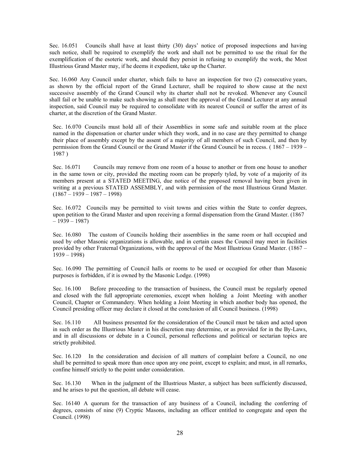Sec. 16.051 Councils shall have at least thirty (30) days' notice of proposed inspections and having such notice, shall be required to exemplify the work and shall not be permitted to use the ritual for the exemplification of the esoteric work, and should they persist in refusing to exemplify the work, the Most Illustrious Grand Master may, if he deems it expedient, take up the Charter.

Sec. 16.060 Any Council under charter, which fails to have an inspection for two (2) consecutive years, as shown by the official report of the Grand Lecturer, shall be required to show cause at the next successive assembly of the Grand Council why its charter shall not be revoked. Whenever any Council shall fail or be unable to make such showing as shall meet the approval of the Grand Lecturer at any annual inspection, said Council may be required to consolidate with its nearest Council or suffer the arrest of its charter, at the discretion of the Grand Master.

Sec. 16.070 Councils must hold all of their Assemblies in some safe and suitable room at the place named in the dispensation or charter under which they work, and in no case are they permitted to change their place of assembly except by the assent of a majority of all members of such Council, and then by permission from the Grand Council or the Grand Master if the Grand Council be in recess. ( 1867 – 1939 – 1987 )

Sec. 16.071 Councils may remove from one room of a house to another or from one house to another in the same town or city, provided the meeting room can be properly tyled, by vote of a majority of its members present at a STATED MEETING, due notice of the proposed removal having been given in writing at a previous STATED ASSEMBLY, and with permission of the most Illustrious Grand Master.  $(1867 - 1939 - 1987 - 1998)$ 

Sec. 16.072 Councils may be permitted to visit towns and cities within the State to confer degrees, upon petition to the Grand Master and upon receiving a formal dispensation from the Grand Master. (1867  $-1939-1987$ 

Sec. 16.080 The custom of Councils holding their assemblies in the same room or hall occupied and used by other Masonic organizations is allowable, and in certain cases the Council may meet in facilities provided by other Fraternal Organizations, with the approval of the Most Illustrious Grand Master. (1867 – 1939 – 1998)

Sec. 16.090 The permitting of Council halls or rooms to be used or occupied for other than Masonic purposes is forbidden, if it is owned by the Masonic Lodge. (1998)

Sec. 16.100 Before proceeding to the transaction of business, the Council must be regularly opened and closed with the full appropriate ceremonies, except when holding a Joint Meeting with another Council, Chapter or Commandery. When holding a Joint Meeting in which another body has opened, the Council presiding officer may declare it closed at the conclusion of all Council business. (1998)

Sec. 16.110 All business presented for the consideration of the Council must be taken and acted upon in such order as the Illustrious Master in his discretion may determine, or as provided for in the By-Laws, and in all discussions or debate in a Council, personal reflections and political or sectarian topics are strictly prohibited.

Sec. 16.120 In the consideration and decision of all matters of complaint before a Council, no one shall be permitted to speak more than once upon any one point, except to explain; and must, in all remarks, confine himself strictly to the point under consideration.

Sec. 16.130 When in the judgment of the Illustrious Master, a subject has been sufficiently discussed, and he arises to put the question, all debate will cease.

Sec. 16140 A quorum for the transaction of any business of a Council, including the conferring of degrees, consists of nine (9) Cryptic Masons, including an officer entitled to congregate and open the Council. (1998)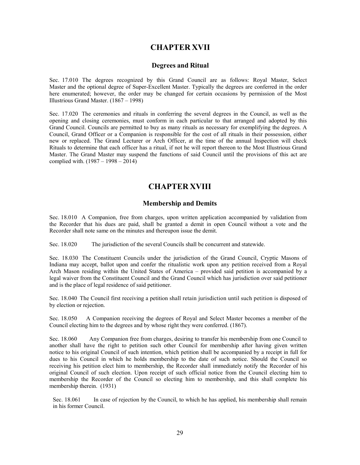#### **CHAPTER XVII**

#### **Degrees and Ritual**

Sec. 17.010 The degrees recognized by this Grand Council are as follows: Royal Master, Select Master and the optional degree of Super-Excellent Master. Typically the degrees are conferred in the order here enumerated; however, the order may be changed for certain occasions by permission of the Most Illustrious Grand Master. (1867 – 1998)

Sec. 17.020 The ceremonies and rituals in conferring the several degrees in the Council, as well as the opening and closing ceremonies, must conform in each particular to that arranged and adopted by this Grand Council. Councils are permitted to buy as many rituals as necessary for exemplifying the degrees. A Council, Grand Officer or a Companion is responsible for the cost of all rituals in their possession, either new or replaced. The Grand Lecturer or Arch Officer, at the time of the annual Inspection will check Rituals to determine that each officer has a ritual, if not he will report thereon to the Most Illustrious Grand Master. The Grand Master may suspend the functions of said Council until the provisions of this act are complied with. (1987 – 1998 – 2014)

#### **CHAPTER XVIII**

#### **Membership and Demits**

Sec. 18.010 A Companion, free from charges, upon written application accompanied by validation from the Recorder that his dues are paid, shall be granted a demit in open Council without a vote and the Recorder shall note same on the minutes and thereupon issue the demit.

Sec. 18.020 The jurisdiction of the several Councils shall be concurrent and statewide.

Sec. 18.030 The Constituent Councils under the jurisdiction of the Grand Council, Cryptic Masons of Indiana may accept, ballot upon and confer the ritualistic work upon any petition received from a Royal Arch Mason residing within the United States of America – provided said petition is accompanied by a legal waiver from the Constituent Council and the Grand Council which has jurisdiction over said petitioner and is the place of legal residence of said petitioner.

Sec. 18.040 The Council first receiving a petition shall retain jurisdiction until such petition is disposed of by election or rejection.

Sec. 18.050 A Companion receiving the degrees of Royal and Select Master becomes a member of the Council electing him to the degrees and by whose right they were conferred. (1867).

Sec. 18.060 Any Companion free from charges, desiring to transfer his membership from one Council to another shall have the right to petition such other Council for membership after having given written notice to his original Council of such intention, which petition shall be accompanied by a receipt in full for dues to his Council in which he holds membership to the date of such notice. Should the Council so receiving his petition elect him to membership, the Recorder shall immediately notify the Recorder of his original Council of such election. Upon receipt of such official notice from the Council electing him to membership the Recorder of the Council so electing him to membership, and this shall complete his membership therein. (1931)

Sec. 18.061 In case of rejection by the Council, to which he has applied, his membership shall remain in his former Council.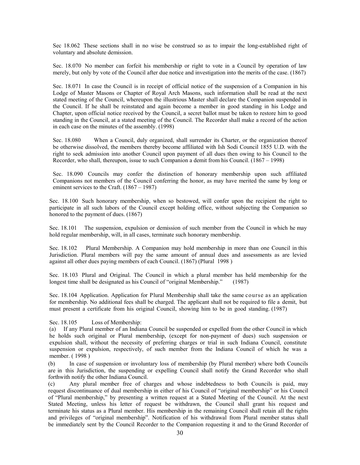Sec 18.062 These sections shall in no wise be construed so as to impair the long-established right of voluntary and absolute demission.

Sec. 18.070 No member can forfeit his membership or right to vote in a Council by operation of law merely, but only by vote of the Council after due notice and investigation into the merits of the case. (1867)

Sec. 18.071 In case the Council is in receipt of official notice of the suspension of a Companion in his Lodge of Master Masons or Chapter of Royal Arch Masons, such information shall be read at the next stated meeting of the Council, whereupon the illustrious Master shall declare the Companion suspended in the Council. If he shall be reinstated and again become a member in good standing in his Lodge and Chapter, upon official notice received by the Council, a secret ballot must be taken to restore him to good standing in the Council, at a stated meeting of the Council. The Recorder shall make a record of the action in each case on the minutes of the assembly. (1998)

Sec. 18.080 When a Council, duly organized, shall surrender its Charter, or the organization thereof be otherwise dissolved, the members thereby become affiliated with Ish Sodi Council 1855 U.D. with the right to seek admission into another Council upon payment of all dues then owing to his Council to the Recorder, who shall, thereupon, issue to such Companion a demit from his Council. (1867 – 1998)

Sec. 18.090 Councils may confer the distinction of honorary membership upon such affiliated Companions not members of the Council conferring the honor, as may have merited the same by long or eminent services to the Craft. (1867 – 1987)

Sec. 18.100 Such honorary membership, when so bestowed, will confer upon the recipient the right to participate in all such labors of the Council except holding office, without subjecting the Companion so honored to the payment of dues. (1867)

Sec. 18.101 The suspension, expulsion or demission of such member from the Council in which he may hold regular membership, will, in all cases, terminate such honorary membership.

Sec. 18.102 Plural Membership. A Companion may hold membership in more than one Council in this Jurisdiction. Plural members will pay the same amount of annual dues and assessments as are levied against all other dues paying members of each Council. (1867) (Plural 1998 )

Sec. 18.103 Plural and Original. The Council in which a plural member has held membership for the longest time shall be designated as his Council of "original Membership." (1987)

Sec. 18.104 Application. Application for Plural Membership shall take the same course as an application for membership. No additional fees shall be charged. The applicant shall not be required to file a demit, but must present a certificate from his original Council, showing him to be in good standing. (1987)

Sec. 18.105 Loss of Membership:

(a) If any Plural member of an Indiana Council be suspended or expelled from the other Council in which he holds such original or Plural membership, (except for non-payment of dues) such suspension or expulsion shall, without the necessity of preferring charges or trial in such Indiana Council, constitute suspension or expulsion, respectively, of such member from the Indiana Council of which he was a member. ( 1998 )

(b) In case of suspension or involuntary loss of membership (by Plural member) where both Councils are in this Jurisdiction, the suspending or expelling Council shall notify the Grand Recorder who shall forthwith notify the other Indiana Council.

(c) Any plural member free of charges and whose indebtedness to both Councils is paid, may request discontinuance of dual membership in either of his Council of "original membership" or his Council of "Plural membership," by presenting a written request at a Stated Meeting of the Council. At the next Stated Meeting, unless his letter of request be withdrawn, the Council shall grant his request and terminate his status as a Plural member. His membership in the remaining Council shall retain all the rights and privileges of "original membership". Notification of his withdrawal from Plural member status shall be immediately sent by the Council Recorder to the Companion requesting it and to the Grand Recorder of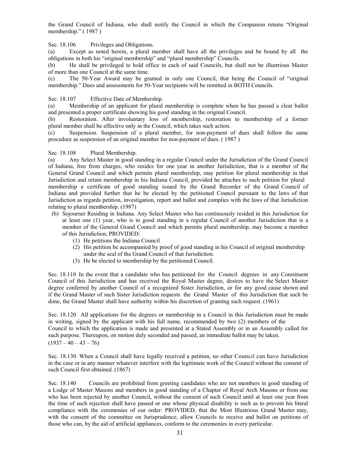the Grand Council of Indiana, who shall notify the Council in which the Companion retains "Original membership." ( 1987 )

Sec. 18.106 Privileges and Obligations.

(a) Except as noted herein, a plural member shall have all the privileges and be bound by all the obligations in both his "original membership" and "plural membership" Councils.

(b) He shall be privileged to hold office in each of said Councils, but shall not be illustrious Master of more than one Council at the same time.

(c) The 50-Year Award may be granted in only one Council, that being the Council of "original membership." Dues and assessments for 50-Year recipients will be remitted in BOTH Councils.

Sec. 18.107 Effective Date of Membership.

(a) Membership of an applicant for plural membership is complete when he has passed a clear ballot and presented a proper certificate showing his good standing in the original Council.

(b) Restoration. After involuntary loss of membership, restoration to membership of a former plural member shall be effective only in the Council, which takes such action.

(c) Suspension. Suspension of a plural member, for non-payment of dues shall follow the same procedure as suspension of an original member for non-payment of dues. ( 1987 )

Sec. 18.108 Plural Membership.

(a) Any Select Master in good standing in a regular Council under the Jurisdiction of the Grand Council of Indiana, free from charges, who resides for one year in another Jurisdiction, that is a member of the General Grand Council and which permits plural membership, may petition for plural membership in that Jurisdiction and retain membership in his Indiana Council, provided he attaches to such petition for plural membership a certificate of good standing issued by the Grand Recorder of the Grand Council of Indiana and provided further that he be elected by the petitioned Council pursuant to the laws of that Jurisdiction as regards petition, investigation, report and ballot and complies with the laws of that Jurisdiction relating to plural membership. (1987)

- (b) Sojourner Residing in Indiana. Any Select Master who has continuously resided in this Jurisdiction for at least one (1) year, who is in good standing in a regular Council of another Jurisdiction that is a member of the General Grand Council and which permits plural membership, may become a member of this Jurisdiction; PROVIDED:
	- (1) He petitions the Indiana Council
	- (2) His petition be accompanied by proof of good standing in his Council of original membership under the seal of the Grand Council of that Jurisdiction.
	- (3) He be elected to membership by the petitioned Council.

Sec. 18.110 In the event that a candidate who has petitioned for the Council degrees in any Constituent Council of this Jurisdiction and has received the Royal Master degree, desires to have the Select Master degree conferred by another Council of a recognized Sister Jurisdiction, or for any good cause shown and if the Grand Master of such Sister Jurisdiction requests the Grand Master of this Jurisdiction that such be done, the Grand Master shall have authority within his discretion of granting such request. (1961)

Sec. 18.120 All applications for the degrees or membership in a Council in this Jurisdiction must be made in writing, signed by the applicant with his full name, recommended by two (2) members of the Council to which the application is made and presented at a Stated Assembly or in an Assembly called for such purpose. Thereupon, on motion duly seconded and passed, an immediate ballot may be taken.  $(1937 - 40 - 43 - 76)$ 

Sec. 18.130 When a Council shall have legally received a petition, no other Council can have Jurisdiction in the case or in any manner whatever interfere with the legitimate work of the Council without the consent of such Council first obtained. (1867)

Sec. 18.140 Councils are prohibited from greeting candidates who are not members in good standing of a Lodge of Master Masons and members in good standing of a Chapter of Royal Arch Masons or from one who has been rejected by another Council, without the consent of such Council until at least one year from the time of such rejection shall have passed or one whose physical disability is such as to prevent his literal compliance with the ceremonies of our order: PROVIDED, that the Most Illustrious Grand Master may, with the consent of the committee on Jurisprudence, allow Councils to receive and ballot on petitions of those who can, by the aid of artificial appliances, conform to the ceremonies in every particular.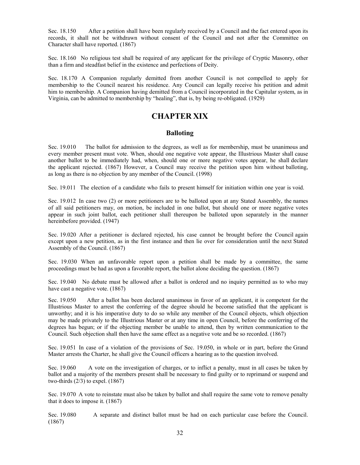Sec. 18.150 After a petition shall have been regularly received by a Council and the fact entered upon its records, it shall not be withdrawn without consent of the Council and not after the Committee on Character shall have reported. (1867)

Sec. 18.160 No religious test shall be required of any applicant for the privilege of Cryptic Masonry, other than a firm and steadfast belief in the existence and perfections of Deity.

Sec. 18.170 A Companion regularly demitted from another Council is not compelled to apply for membership to the Council nearest his residence. Any Council can legally receive his petition and admit him to membership. A Companion having demitted from a Council incorporated in the Capitular system, as in Virginia, can be admitted to membership by "healing", that is, by being re-obligated. (1929)

#### **CHAPTER XIX**

#### **Balloting**

Sec. 19.010 The ballot for admission to the degrees, as well as for membership, must be unanimous and every member present must vote. When, should one negative vote appear, the Illustrious Master shall cause another ballot to be immediately had, when, should one or more negative votes appear, he shall declare the applicant rejected. (1867) However, a Council may receive the petition upon him without balloting, as long as there is no objection by any member of the Council. (1998)

Sec. 19.011 The election of a candidate who fails to present himself for initiation within one year is void.

Sec. 19.012 In case two (2) or more petitioners are to be balloted upon at any Stated Assembly, the names of all said petitioners may, on motion, be included in one ballot, but should one or more negative votes appear in such joint ballot, each petitioner shall thereupon be balloted upon separately in the manner hereinbefore provided. (1947)

Sec. 19.020 After a petitioner is declared rejected, his case cannot be brought before the Council again except upon a new petition, as in the first instance and then lie over for consideration until the next Stated Assembly of the Council. (1867)

Sec. 19.030 When an unfavorable report upon a petition shall be made by a committee, the same proceedings must be had as upon a favorable report, the ballot alone deciding the question. (1867)

Sec. 19.040 No debate must be allowed after a ballot is ordered and no inquiry permitted as to who may have cast a negative vote. (1867)

Sec. 19.050 After a ballot has been declared unanimous in favor of an applicant, it is competent for the Illustrious Master to arrest the conferring of the degree should he become satisfied that the applicant is unworthy; and it is his imperative duty to do so while any member of the Council objects, which objection may be made privately to the Illustrious Master or at any time in open Council, before the conferring of the degrees has begun; or if the objecting member be unable to attend, then by written communication to the Council. Such objection shall then have the same effect as a negative vote and be so recorded. (1867)

Sec. 19.051 In case of a violation of the provisions of Sec. 19.050, in whole or in part, before the Grand Master arrests the Charter, he shall give the Council officers a hearing as to the question involved.

Sec. 19.060 A vote on the investigation of charges, or to inflict a penalty, must in all cases be taken by ballot and a majority of the members present shall be necessary to find guilty or to reprimand or suspend and two-thirds  $(2/3)$  to expel.  $(1867)$ 

Sec. 19.070 A vote to reinstate must also be taken by ballot and shall require the same vote to remove penalty that it does to impose it. (1867)

Sec. 19.080 A separate and distinct ballot must be had on each particular case before the Council. (1867)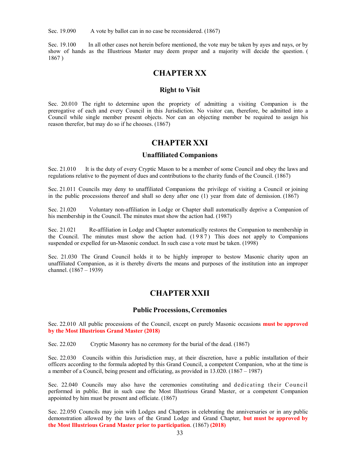Sec. 19.090 A vote by ballot can in no case be reconsidered. (1867)

Sec. 19.100 In all other cases not herein before mentioned, the vote may be taken by ayes and nays, or by show of hands as the Illustrious Master may deem proper and a majority will decide the question. ( 1867 )

#### **CHAPTER XX**

#### **Right to Visit**

Sec. 20.010 The right to determine upon the propriety of admitting a visiting Companion is the prerogative of each and every Council in this Jurisdiction. No visitor can, therefore, be admitted into a Council while single member present objects. Nor can an objecting member be required to assign his reason therefor, but may do so if he chooses. (1867)

#### **CHAPTER XXI**

#### **Unaffiliated Companions**

Sec. 21.010 It is the duty of every Cryptic Mason to be a member of some Council and obey the laws and regulations relative to the payment of dues and contributions to the charity funds of the Council. (1867)

Sec. 21.011 Councils may deny to unaffiliated Companions the privilege of visiting a Council or joining in the public processions thereof and shall so deny after one (1) year from date of demission. (1867)

Sec. 21.020 Voluntary non-affiliation in Lodge or Chapter shall automatically deprive a Companion of his membership in the Council. The minutes must show the action had. (1987)

Sec. 21.021 Re-affiliation in Lodge and Chapter automatically restores the Companion to membership in the Council. The minutes must show the action had. (1987) This does not apply to Companions suspended or expelled for un-Masonic conduct. In such case a vote must be taken. (1998)

Sec. 21.030 The Grand Council holds it to be highly improper to bestow Masonic charity upon an unaffiliated Companion, as it is thereby diverts the means and purposes of the institution into an improper channel. (1867 – 1939)

#### **CHAPTER XXII**

#### **Public Processions, Ceremonies**

Sec. 22.010 All public processions of the Council, except on purely Masonic occasions **must be approved by the Most Illustrious Grand Master (2018)**

Sec. 22.020 Cryptic Masonry has no ceremony for the burial of the dead. (1867)

Sec. 22.030 Councils within this Jurisdiction may, at their discretion, have a public installation of their officers according to the formula adopted by this Grand Council, a competent Companion, who at the time is a member of a Council, being present and officiating, as provided in 13.020. (1867 – 1987)

Sec. 22.040 Councils may also have the ceremonies constituting and dedicating their Council performed in public. But in such case the Most Illustrious Grand Master, or a competent Companion appointed by him must be present and officiate. (1867)

Sec. 22.050 Councils may join with Lodges and Chapters in celebrating the anniversaries or in any public demonstration allowed by the laws of the Grand Lodge and Grand Chapter, **but must be approved by the Most Illustrious Grand Master prior to participation**. (1867) **(2018)**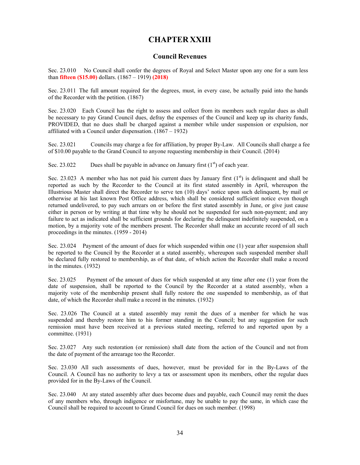#### **CHAPTER XXIII**

#### **Council Revenues**

Sec. 23.010 No Council shall confer the degrees of Royal and Select Master upon any one for a sum less than **fifteen (\$15.00)** dollars. (1867 – 1919) **(2018)** 

Sec. 23.011 The full amount required for the degrees, must, in every case, be actually paid into the hands of the Recorder with the petition. (1867)

Sec. 23.020 Each Council has the right to assess and collect from its members such regular dues as shall be necessary to pay Grand Council dues, defray the expenses of the Council and keep up its charity funds, PROVIDED, that no dues shall be charged against a member while under suspension or expulsion, nor affiliated with a Council under dispensation. (1867 – 1932)

Sec. 23.021 Councils may charge a fee for affiliation, by proper By-Law. All Councils shall charge a fee of \$10.00 payable to the Grand Council to anyone requesting membership in their Council. (2014)

Sec. 23.022 Dues shall be payable in advance on January first  $(1<sup>st</sup>)$  of each year.

Sec. 23.023 A member who has not paid his current dues by January first  $(1<sup>st</sup>)$  is delinquent and shall be reported as such by the Recorder to the Council at its first stated assembly in April, whereupon the Illustrious Master shall direct the Recorder to serve ten (10) days' notice upon such delinquent, by mail or otherwise at his last known Post Office address, which shall be considered sufficient notice even though returned undelivered, to pay such arrears on or before the first stated assembly in June, or give just cause either in person or by writing at that time why he should not be suspended for such non-payment; and any failure to act as indicated shall be sufficient grounds for declaring the delinquent indefinitely suspended, on a motion, by a majority vote of the members present. The Recorder shall make an accurate record of all such proceedings in the minutes. (1959 - 2014)

Sec. 23.024 Payment of the amount of dues for which suspended within one (1) year after suspension shall be reported to the Council by the Recorder at a stated assembly, whereupon such suspended member shall be declared fully restored to membership, as of that date, of which action the Recorder shall make a record in the minutes. (1932)

Sec. 23.025 Payment of the amount of dues for which suspended at any time after one (1) year from the date of suspension, shall be reported to the Council by the Recorder at a stated assembly, when a majority vote of the membership present shall fully restore the one suspended to membership, as of that date, of which the Recorder shall make a record in the minutes. (1932)

Sec. 23.026 The Council at a stated assembly may remit the dues of a member for which he was suspended and thereby restore him to his former standing in the Council; but any suggestion for such remission must have been received at a previous stated meeting, referred to and reported upon by a committee. (1931)

Sec. 23.027 Any such restoration (or remission) shall date from the action of the Council and not from the date of payment of the arrearage too the Recorder.

Sec. 23.030 All such assessments of dues, however, must be provided for in the By-Laws of the Council. A Council has no authority to levy a tax or assessment upon its members, other the regular dues provided for in the By-Laws of the Council.

Sec. 23.040 At any stated assembly after dues become dues and payable, each Council may remit the dues of any members who, through indigence or misfortune, may be unable to pay the same, in which case the Council shall be required to account to Grand Council for dues on such member. (1998)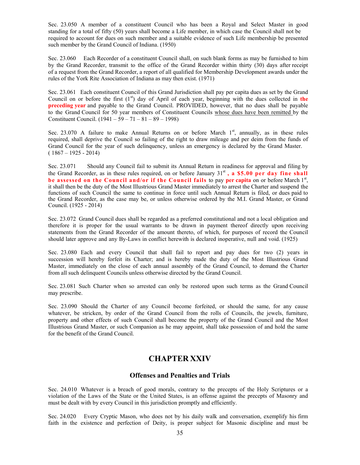Sec. 23.050 A member of a constituent Council who has been a Royal and Select Master in good standing for a total of fifty (50) years shall become a Life member, in which case the Council shall not be required to account for dues on such member and a suitable evidence of such Life membership be presented such member by the Grand Council of Indiana. (1950)

Sec. 23.060 Each Recorder of a constituent Council shall, on such blank forms as may be furnished to him by the Grand Recorder, transmit to the office of the Grand Recorder within thirty (30) days after receipt of a request from the Grand Recorder, a report of all qualified for Membership Development awards under the rules of the York Rite Association of Indiana as may then exist. (1971)

Sec. 23.061 Each constituent Council of this Grand Jurisdiction shall pay per capita dues as set by the Grand Council on or before the first  $(1<sup>st</sup>)$  day of April of each year, beginning with the dues collected in **the preceding year** and payable to the Grand Council. PROVIDED, however, that no dues shall be payable to the Grand Council for 50 year members of Constituent Councils whose dues have been remitted by the Constituent Council. (1941 – 59 – 71 – 81 – 89 – 1998)

Sec. 23.070 A failure to make Annual Returns on or before March  $1<sup>st</sup>$ , annually, as in these rules required, shall deprive the Council so failing of the right to draw mileage and per deim from the funds of Grand Council for the year of such delinquency, unless an emergency is declared by the Grand Master.  $(1867 - 1925 - 2014)$ 

Sec. 23.071 Should any Council fail to submit its Annual Return in readiness for approval and filing by the Grand Recorder, as in these rules required, on or before January  $31<sup>st</sup>$ , **a \$5.00 per day fine shall** be assessed on the Council and/or if the Council fails to pay per capita on or before March 1<sup>st</sup>, it shall then be the duty of the Most Illustrious Grand Master immediately to arrest the Charter and suspend the functions of such Council the same to continue in force until such Annual Return is filed, or dues paid to the Grand Recorder, as the case may be, or unless otherwise ordered by the M.I. Grand Master, or Grand Council. (1925 - 2014)

Sec. 23.072 Grand Council dues shall be regarded as a preferred constitutional and not a local obligation and therefore it is proper for the usual warrants to be drawn in payment thereof directly upon receiving statements from the Grand Recorder of the amount thereto, of which, for purposes of record the Council should later approve and any By-Laws in conflict herewith is declared inoperative, null and void. (1925)

Sec. 23.080 Each and every Council that shall fail to report and pay dues for two (2) years in succession will hereby forfeit its Charter; and is hereby made the duty of the Most Illustrious Grand Master, immediately on the close of each annual assembly of the Grand Council, to demand the Charter from all such delinquent Councils unless otherwise directed by the Grand Council.

Sec. 23.081 Such Charter when so arrested can only be restored upon such terms as the Grand Council may prescribe.

Sec. 23.090 Should the Charter of any Council become forfeited, or should the same, for any cause whatever, be stricken, by order of the Grand Council from the rolls of Councils, the jewels, furniture, property and other effects of such Council shall become the property of the Grand Council and the Most Illustrious Grand Master, or such Companion as he may appoint, shall take possession of and hold the same for the benefit of the Grand Council.

#### **CHAPTER XXIV**

#### **Offenses and Penalties and Trials**

Sec. 24.010 Whatever is a breach of good morals, contrary to the precepts of the Holy Scriptures or a violation of the Laws of the State or the United States, is an offense against the precepts of Masonry and must be dealt with by every Council in this jurisdiction promptly and efficiently.

Sec. 24.020 Every Cryptic Mason, who does not by his daily walk and conversation, exemplify his firm faith in the existence and perfection of Deity, is proper subject for Masonic discipline and must be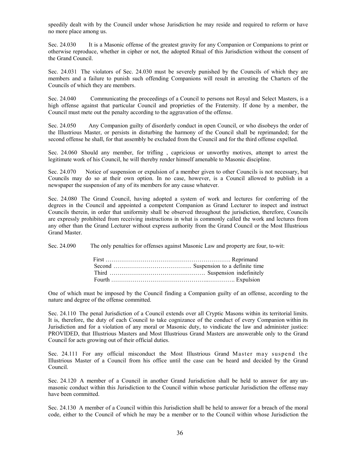speedily dealt with by the Council under whose Jurisdiction he may reside and required to reform or have no more place among us.

Sec. 24.030 It is a Masonic offense of the greatest gravity for any Companion or Companions to print or otherwise reproduce, whether in cipher or not, the adopted Ritual of this Jurisdiction without the consent of the Grand Council.

Sec. 24.031 The violators of Sec. 24.030 must be severely punished by the Councils of which they are members and a failure to punish such offending Companions will result in arresting the Charters of the Councils of which they are members.

Sec. 24.040 Communicating the proceedings of a Council to persons not Royal and Select Masters, is a high offense against that particular Council and proprieties of the Fraternity. If done by a member, the Council must mete out the penalty according to the aggravation of the offense.

Sec. 24.050 Any Companion guilty of disorderly conduct in open Council, or who disobeys the order of the Illustrious Master, or persists in disturbing the harmony of the Council shall be reprimanded; for the second offense he shall, for that assembly be excluded from the Council and for the third offense expelled.

Sec. 24.060 Should any member, for trifling , capricious or unworthy motives, attempt to arrest the legitimate work of his Council, he will thereby render himself amenable to Masonic discipline.

Sec. 24.070 Notice of suspension or expulsion of a member given to other Councils is not necessary, but Councils may do so at their own option. In no case, however, is a Council allowed to publish in a newspaper the suspension of any of its members for any cause whatever.

Sec. 24.080 The Grand Council, having adopted a system of work and lectures for conferring of the degrees in the Council and appointed a competent Companion as Grand Lecturer to inspect and instruct Councils therein, in order that uniformity shall be observed throughout the jurisdiction, therefore, Councils are expressly prohibited from receiving instructions in what is commonly called the work and lectures from any other than the Grand Lecturer without express authority from the Grand Council or the Most Illustrious Grand Master.

Sec. 24.090 The only penalties for offenses against Masonic Law and property are four, to-wit:

One of which must be imposed by the Council finding a Companion guilty of an offense, according to the nature and degree of the offense committed.

Sec. 24.110 The penal Jurisdiction of a Council extends over all Cryptic Masons within its territorial limits. It is, therefore, the duty of each Council to take cognizance of the conduct of every Companion within its Jurisdiction and for a violation of any moral or Masonic duty, to vindicate the law and administer justice: PROVIDED, that Illustrious Masters and Most Illustrious Grand Masters are answerable only to the Grand Council for acts growing out of their official duties.

Sec. 24.111 For any official misconduct the Most Illustrious Grand Master may suspend the Illustrious Master of a Council from his office until the case can be heard and decided by the Grand Council.

Sec. 24.120 A member of a Council in another Grand Jurisdiction shall be held to answer for any unmasonic conduct within this Jurisdiction to the Council within whose particular Jurisdiction the offense may have been committed.

Sec. 24.130 A member of a Council within this Jurisdiction shall be held to answer for a breach of the moral code, either to the Council of which he may be a member or to the Council within whose Jurisdiction the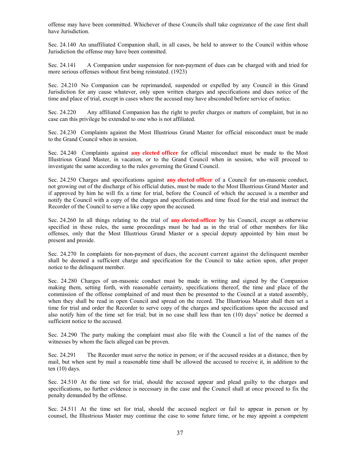offense may have been committed. Whichever of these Councils shall take cognizance of the case first shall have Jurisdiction.

Sec. 24.140 An unaffiliated Companion shall, in all cases, be held to answer to the Council within whose Jurisdiction the offense may have been committed.

Sec. 24.141 A Companion under suspension for non-payment of dues can be charged with and tried for more serious offenses without first being reinstated. (1923)

Sec. 24.210 No Companion can be reprimanded, suspended or expelled by any Council in this Grand Jurisdiction for any cause whatever, only upon written charges and specifications and dues notice of the time and place of trial, except in cases where the accused may have absconded before service of notice.

Sec. 24.220 Any affiliated Companion has the right to prefer charges or matters of complaint, but in no case can this privilege be extended to one who is not affiliated.

Sec. 24.230 Complaints against the Most Illustrious Grand Master for official misconduct must be made to the Grand Council when in session.

Sec. 24.240 Complaints against **any elected officer** for official misconduct must be made to the Most Illustrious Grand Master, in vacation, or to the Grand Council when in session, who will proceed to investigate the same according to the rules governing the Grand Council.

Sec. 24.250 Charges and specifications against **any elected officer** of a Council for un-masonic conduct, not growing out of the discharge of his official duties, must be made to the Most Illustrious Grand Master and if approved by him he will fix a time for trial, before the Council of which the accused is a member and notify the Council with a copy of the charges and specifications and time fixed for the trial and instruct the Recorder of the Council to serve a like copy upon the accused.

Sec. 24.260 In all things relating to the trial of **any elected officer** by his Council, except as otherwise specified in these rules, the same proceedings must be had as in the trial of other members for like offenses, only that the Most Illustrious Grand Master or a special deputy appointed by him must be present and preside.

Sec. 24.270 In complaints for non-payment of dues, the account current against the delinquent member shall be deemed a sufficient charge and specification for the Council to take action upon, after proper notice to the delinquent member.

Sec. 24.280 Charges of un-masonic conduct must be made in writing and signed by the Companion making them, setting forth, with reasonable certainty, specifications thereof, the time and place of the commission of the offense complained of and must then be presented to the Council at a stated assembly, when they shall be read in open Council and spread on the record. The Illustrious Master shall then set a time for trial and order the Recorder to serve copy of the charges and specifications upon the accused and also notify him of the time set for trial; but in no case shall less than ten (10) days' notice be deemed a sufficient notice to the accused.

Sec. 24.290 The party making the complaint must also file with the Council a list of the names of the witnesses by whom the facts alleged can be proven.

Sec. 24.291 The Recorder must serve the notice in person; or if the accused resides at a distance, then by mail, but when sent by mail a reasonable time shall be allowed the accused to receive it, in addition to the ten (10) days.

Sec. 24.510 At the time set for trial, should the accused appear and plead guilty to the charges and specifications, no further evidence is necessary in the case and the Council shall at once proceed to fix the penalty demanded by the offense.

Sec. 24.511 At the time set for trial, should the accused neglect or fail to appear in person or by counsel, the Illustrious Master may continue the case to some future time, or he may appoint a competent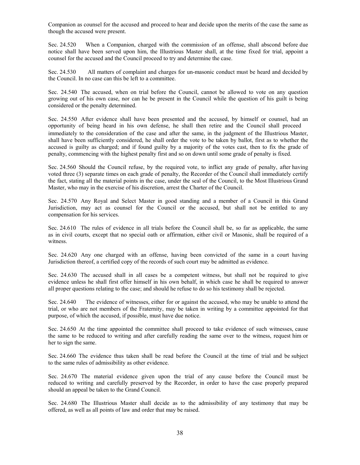Companion as counsel for the accused and proceed to hear and decide upon the merits of the case the same as though the accused were present.

Sec. 24.520 When a Companion, charged with the commission of an offense, shall abscond before due notice shall have been served upon him, the Illustrious Master shall, at the time fixed for trial, appoint a counsel for the accused and the Council proceed to try and determine the case.

Sec. 24.530 All matters of complaint and charges for un-masonic conduct must be heard and decided by the Council. In no case can this be left to a committee.

Sec. 24.540 The accused, when on trial before the Council, cannot be allowed to vote on any question growing out of his own case, nor can he be present in the Council while the question of his guilt is being considered or the penalty determined.

Sec. 24.550 After evidence shall have been presented and the accused, by himself or counsel, had an opportunity of being heard in his own defense, he shall then retire and the Council shall proceed immediately to the consideration of the case and after the same, in the judgment of the Illustrious Master, shall have been sufficiently considered, he shall order the vote to be taken by ballot, first as to whether the accused is guilty as charged; and if found guilty by a majority of the votes cast, then to fix the grade of penalty, commencing with the highest penalty first and so on down until some grade of penalty is fixed.

Sec. 24.560 Should the Council refuse, by the required vote, to inflict any grade of penalty, after having voted three (3) separate times on each grade of penalty, the Recorder of the Council shall immediately certify the fact, stating all the material points in the case, under the seal of the Council, to the Most Illustrious Grand Master, who may in the exercise of his discretion, arrest the Charter of the Council.

Sec. 24.570 Any Royal and Select Master in good standing and a member of a Council in this Grand Jurisdiction, may act as counsel for the Council or the accused, but shall not be entitled to any compensation for his services.

Sec. 24.610 The rules of evidence in all trials before the Council shall be, so far as applicable, the same as in civil courts, except that no special oath or affirmation, either civil or Masonic, shall be required of a witness.

Sec. 24.620 Any one charged with an offense, having been convicted of the same in a court having Jurisdiction thereof, a certified copy of the records of such court may be admitted as evidence.

Sec. 24.630 The accused shall in all cases be a competent witness, but shall not be required to give evidence unless he shall first offer himself in his own behalf, in which case he shall be required to answer all proper questions relating to the case; and should he refuse to do so his testimony shall be rejected.

Sec. 24.640 The evidence of witnesses, either for or against the accused, who may be unable to attend the trial, or who are not members of the Fraternity, may be taken in writing by a committee appointed for that purpose, of which the accused, if possible, must have due notice.

Sec. 24.650 At the time appointed the committee shall proceed to take evidence of such witnesses, cause the same to be reduced to writing and after carefully reading the same over to the witness, request him or her to sign the same.

Sec. 24.660 The evidence thus taken shall be read before the Council at the time of trial and be subject to the same rules of admissibility as other evidence.

Sec. 24.670 The material evidence given upon the trial of any cause before the Council must be reduced to writing and carefully preserved by the Recorder, in order to have the case properly prepared should an appeal be taken to the Grand Council.

Sec. 24.680 The Illustrious Master shall decide as to the admissibility of any testimony that may be offered, as well as all points of law and order that may be raised.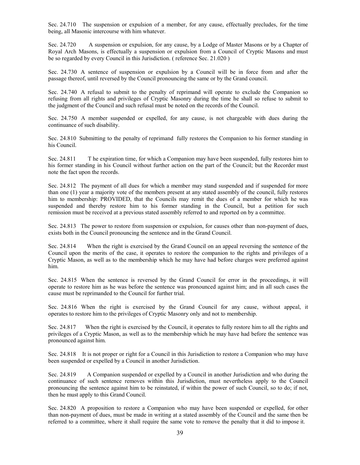Sec. 24.710 The suspension or expulsion of a member, for any cause, effectually precludes, for the time being, all Masonic intercourse with him whatever.

Sec. 24.720 A suspension or expulsion, for any cause, by a Lodge of Master Masons or by a Chapter of Royal Arch Masons, is effectually a suspension or expulsion from a Council of Cryptic Masons and must be so regarded by every Council in this Jurisdiction. ( reference Sec. 21.020 )

Sec. 24.730 A sentence of suspension or expulsion by a Council will be in force from and after the passage thereof, until reversed by the Council pronouncing the same or by the Grand council.

Sec. 24.740 A refusal to submit to the penalty of reprimand will operate to exclude the Companion so refusing from all rights and privileges of Cryptic Masonry during the time he shall so refuse to submit to the judgment of the Council and such refusal must be noted on the records of the Council.

Sec. 24.750 A member suspended or expelled, for any cause, is not chargeable with dues during the continuance of such disability.

Sec. 24.810 Submitting to the penalty of reprimand fully restores the Companion to his former standing in his Council.

Sec. 24.811 T he expiration time, for which a Companion may have been suspended, fully restores him to his former standing in his Council without further action on the part of the Council; but the Recorder must note the fact upon the records.

Sec. 24.812 The payment of all dues for which a member may stand suspended and if suspended for more than one (1) year a majority vote of the members present at any stated assembly of the council, fully restores him to membership: PROVIDED, that the Councils may remit the dues of a member for which he was suspended and thereby restore him to his former standing in the Council, but a petition for such remission must be received at a previous stated assembly referred to and reported on by a committee.

Sec. 24.813 The power to restore from suspension or expulsion, for causes other than non-payment of dues, exists both in the Council pronouncing the sentence and in the Grand Council.

Sec. 24.814 When the right is exercised by the Grand Council on an appeal reversing the sentence of the Council upon the merits of the case, it operates to restore the companion to the rights and privileges of a Cryptic Mason, as well as to the membership which he may have had before charges were preferred against him.

Sec. 24.815 When the sentence is reversed by the Grand Council for error in the proceedings, it will operate to restore him as he was before the sentence was pronounced against him; and in all such cases the cause must be reprimanded to the Council for further trial.

Sec. 24.816 When the right is exercised by the Grand Council for any cause, without appeal, it operates to restore him to the privileges of Cryptic Masonry only and not to membership.

Sec. 24.817 When the right is exercised by the Council, it operates to fully restore him to all the rights and privileges of a Cryptic Mason, as well as to the membership which he may have had before the sentence was pronounced against him.

Sec. 24.818 It is not proper or right for a Council in this Jurisdiction to restore a Companion who may have been suspended or expelled by a Council in another Jurisdiction.

Sec. 24.819 A Companion suspended or expelled by a Council in another Jurisdiction and who during the continuance of such sentence removes within this Jurisdiction, must nevertheless apply to the Council pronouncing the sentence against him to be reinstated, if within the power of such Council, so to do; if not, then he must apply to this Grand Council.

Sec. 24.820 A proposition to restore a Companion who may have been suspended or expelled, for other than non-payment of dues, must be made in writing at a stated assembly of the Council and the same then be referred to a committee, where it shall require the same vote to remove the penalty that it did to impose it.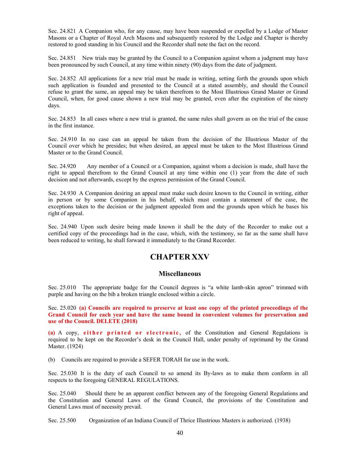Sec. 24.821 A Companion who, for any cause, may have been suspended or expelled by a Lodge of Master Masons or a Chapter of Royal Arch Masons and subsequently restored by the Lodge and Chapter is thereby restored to good standing in his Council and the Recorder shall note the fact on the record.

Sec. 24.851 New trials may be granted by the Council to a Companion against whom a judgment may have been pronounced by such Council, at any time within ninety (90) days from the date of judgment.

Sec. 24.852 All applications for a new trial must be made in writing, setting forth the grounds upon which such application is founded and presented to the Council at a stated assembly, and should the Council refuse to grant the same, an appeal may be taken therefrom to the Most Illustrious Grand Master or Grand Council, when, for good cause shown a new trial may be granted, even after the expiration of the ninety days.

Sec. 24.853 In all cases where a new trial is granted, the same rules shall govern as on the trial of the cause in the first instance.

Sec. 24.910 In no case can an appeal be taken from the decision of the Illustrious Master of the Council over which he presides; but when desired, an appeal must be taken to the Most Illustrious Grand Master or to the Grand Council.

Sec. 24.920 Any member of a Council or a Companion, against whom a decision is made, shall have the right to appeal therefrom to the Grand Council at any time within one (1) year from the date of such decision and not afterwards, except by the express permission of the Grand Council.

Sec. 24.930 A Companion desiring an appeal must make such desire known to the Council in writing, either in person or by some Companion in his behalf, which must contain a statement of the case, the exceptions taken to the decision or the judgment appealed from and the grounds upon which he bases his right of appeal.

Sec. 24.940 Upon such desire being made known it shall be the duty of the Recorder to make out a certified copy of the proceedings had in the case, which, with the testimony, so far as the same shall have been reduced to writing, he shall forward it immediately to the Grand Recorder.

#### **CHAPTER XXV**

#### **Miscellaneous**

Sec. 25.010 The appropriate badge for the Council degrees is "a white lamb-skin apron" trimmed with purple and having on the bib a broken triangle enclosed within a circle.

Sec. 25.020 **(a) Councils are required to preserve at least one copy of the printed proceedings of the Grand Council for each year and have the same bound in convenient volumes for preservation and use of the Council. DELETE (2018)** 

**(a)** A copy, **either printed or electronic,** of the Constitution and General Regulations is required to be kept on the Recorder's desk in the Council Hall, under penalty of reprimand by the Grand Master. (1924)

(b) Councils are required to provide a SEFER TORAH for use in the work.

Sec. 25.030 It is the duty of each Council to so amend its By-laws as to make them conform in all respects to the foregoing GENERAL REGULATIONS.

Sec. 25.040 Should there be an apparent conflict between any of the foregoing General Regulations and the Constitution and General Laws of the Grand Council, the provisions of the Constitution and General Laws must of necessity prevail.

Sec. 25.500 Organization of an Indiana Council of Thrice Illustrious Masters is authorized. (1938)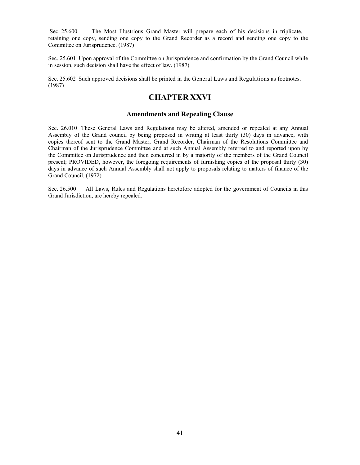Sec. 25.600 The Most Illustrious Grand Master will prepare each of his decisions in triplicate, retaining one copy, sending one copy to the Grand Recorder as a record and sending one copy to the Committee on Jurisprudence. (1987)

Sec. 25.601 Upon approval of the Committee on Jurisprudence and confirmation by the Grand Council while in session, such decision shall have the effect of law. (1987)

Sec. 25.602 Such approved decisions shall be printed in the General Laws and Regulations as footnotes. (1987)

#### **CHAPTER XXVI**

#### **Amendments and Repealing Clause**

Sec. 26.010 These General Laws and Regulations may be altered, amended or repealed at any Annual Assembly of the Grand council by being proposed in writing at least thirty (30) days in advance, with copies thereof sent to the Grand Master, Grand Recorder, Chairman of the Resolutions Committee and Chairman of the Jurisprudence Committee and at such Annual Assembly referred to and reported upon by the Committee on Jurisprudence and then concurred in by a majority of the members of the Grand Council present; PROVIDED, however, the foregoing requirements of furnishing copies of the proposal thirty (30) days in advance of such Annual Assembly shall not apply to proposals relating to matters of finance of the Grand Council. (1972)

Sec. 26.500 All Laws, Rules and Regulations heretofore adopted for the government of Councils in this Grand Jurisdiction, are hereby repealed.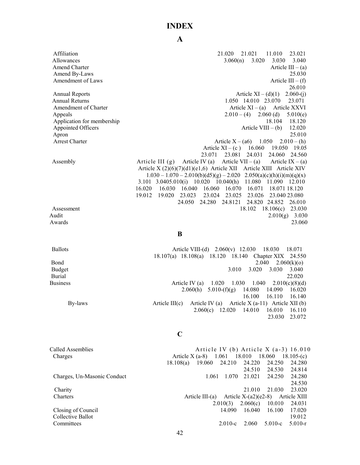#### **INDEX**

Affiliation 21.020 21.021 11.010 23.021 Allowances 3.060(n) 3.020 3.030 3.040 Amend Charter Article III – (a) Amend By-Laws 25.030<br>Amendment of Laws 25.030<br>Article III – (f) Amendment of Laws 26.010 Annual Reports **Annual Reports** Article XI – (d)(1) 2.060-(j) Annual Returns 1.050 14.010 23.070 23.071 Amendment of Charter **Article XI** – (a) Article XI – (a) Article XXVI Appeals  $2.010 - (4) 2.060$  (d)  $5.010$ (e) Application for membership 18.104 18.120 Appointed Officers Article VIII – (b) 12.020 Apron 25.010 Arrest Charter Article X – (a6) 1.050 2.010 – (h) Article  $XI - (c)$  16.060 19.050 19.05 23.071 23.081 24.031 24.060 24.560 Assembly Article III (g) Article IV (a) Article VII – (a) Article IX – (a) Article X (2)(6)(7)(d1)(e1,6) Article XII Article XIII Article XIV  $1.030 - 1.070 - 2.010(b)(d5)(g) - 2.020$   $2.050(a)(c)(h)(i)(m)(q)(x)$ 3.101 3.0405.010(i) 10.020 10.040(h) 11.080 11.090 12.010 16.020 16.030 16.040 16.060 16.070 16.071 18.071 18.120 19.012 19.020 23.023 23.024 23.025 23.026 23.040 23.080 24.050 24.280 24.8121 24.820 24.852 26.010 Assessment 18.102 18.106(c) 23.030 Audit 2.010(g) 3.030 Awards 23.060

#### **B**

Ballots **Article VIII-(d)** 2.060(v) 12.030 18.030 18.071 18.107(a) 18.108(a) 18.120 18.140 Chapter XIX 24.550 Bond 2.060(k)(o) 2.060(k)(o) Budget 3.010 3.020 3.030 3.040 Burial 22.020 Business Article IV (a) 1.020 1.030 1.040 2.010(c)(8)(d) 2.060(h) 5.010-(f)(g) 14.080 14.090 16.020 16.100 16.110 16.140 By-laws Article III(c) Article IV (a) Article X (a-11) Article XII (b) 2.060(c) 12.020 14.010 16.010 16.110 23.030 23.072

#### **C**

Called Assemblies **Article IV (b)** Article X (a-3) 16.010 Charges Article X (a-8) 1.061 18.010 18.060 18.105-(c) 18.108(a) 19.060 24.210 24.220 24.250 24.280 24.510 24.530 24.814 Charges, Un-Masonic Conduct 1.061 1.070 21.021 24.250 24.280 24.530 Charity 21.010 21.030 23.020 Charters Article III-(a) Article X-(a2)(e2-8) Article XIII 2.010(3) 2.060(c) 10.010 24.031 Closing of Council 14.090 16.040 16.100 17.020 Collective Ballot 19.012 Committees 2.010-c 2.060 5.010-c 5.010-r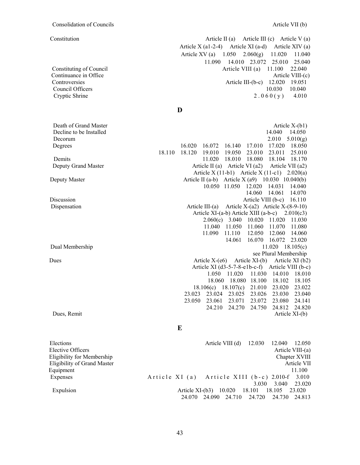Constitution **Article II** (a) Article III (c) Article V (a) Article X (a1-2-4) Article XI (a-d) Article XIV (a) Article XV (a) 1.050 2.060(g) 11.020 11.040 11.090 14.010 23.072 25.010 25.040 Constituting of Council **Article VIII** (a) 11.100 22.040 Continuance in Office Article VIII-(c) Controversies Article III-(b-c) 12.020 19.051 Council Officers 10.030 10.040 Cryptic Shrine 2.  $0.60(y)$  4.010

**D**

Death of Grand Master Article X-(b1) Decline to be Installed 14.050 Decorum 2.010 5.010(g) Degrees 16.020 16.072 16.140 17.010 17.020 18.050 18.110 18.120 19.010 19.050 23.010 23.011 25.010 Demits 11.020 18.010 18.080 18.104 18.170 Deputy Grand Master **Article II** (a) Article VI (a2) Article VII (a2) Article VII (a2) Article X (11-b1) Article X (11-c1) 2.020(a) Deputy Master Article II (a-b) Article X (a9) 10.030 10.040(b) 10.050 11.050 12.020 14.031 14.040 14.060 14.061 14.070 Discussion Article VIII (b-c) 16.110 Dispensation Article III-(a) Article X-(a2) Article X-(8-9-10) Article XI-(a-b) Article XIII (a-b-c) 2.010(c3) 2.060(c) 3.040 10.020 11.020 11.030 11.040 11.050 11.060 11.070 11.080 11.090 11.110 12.050 12.060 14.060 14.061 16.070 16.072 23.020 Dual Membership 11.020 18.105(c) see Plural Membership Dues Article X-(e6) Article XI-(b) Article XI (b2) Article XI (d3-5-7-8-e1b-c-f) Article VIII (b-c) 1.050 11.020 11.030 14.010 18.010 18.060 18.080 18.100 18.102 18.105 18.106(c) 18.107(c) 21.010 23.020 23.022 23.023 23.024 23.025 23.026 23.030 23.040 23.050 23.061 23.071 23.072 23.080 24.141 24.210 24.270 24.750 24.812 24.820 Dues, Remit Article XI-(b)

**E**

Elections Article VIII (d) 12.030 12.040 12.050 Elective Officers Article VIII-(a) Eligibility for Membership Chapter XVIII Eligibility of Grand Master Article VII Equipment 11.100 Expenses Article XI (a) Article XIII (b-c) 2.010-f 3.010 3.030 3.040 23.020 Expulsion Article XI-(b3) 10.020 18.101 18.105 23.020 24.070 24.090 24.710 24.720 24.730 24.813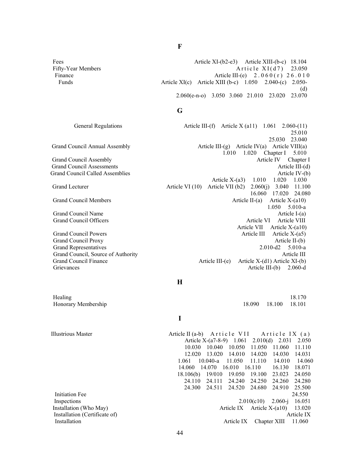Fees Article XI-(b2-e3) Article XII-(b-c) 18.104 Fifty-Year Members  $A \text{ tr} i \text{ cl } X I \text{ } (d7) = 23.050$ Finance **Article III-(e)** 2.060(r) 26.010 Funds Article XI(c) Article XIII (b-c) 1.050 2.040-(c) 2.050- (d) 2.060(e-n-o) 3.050 3.060 21.010 23.020 23.070

#### **G**

Grievances Article III-(b) 2.060-d

#### General Regulations **Article III-(f)** Article X (a11) 1.061 2.060-(11) 25.010 25.030 23.040 Grand Council Annual Assembly  $\Delta t$  and Council Annual Assembly  $\Delta t$  article III-(g) Article IV(a) Article VIII(a) 1.010 1.020 Chapter I 5.010 Grand Council Assembly **Article IV** Chapter I Grand Council Assessments **Article III-(d)** Article III-(d) Grand Council Called Assemblies Article IV-(b) Article X-(a3) 1.010 1.020 1.030 Grand Lecturer **Article VI (10)** Article VII (b2) 2.060(j) 3.040 11.100 16.060 17.020 24.080 Grand Council Members **Article II-(a)** Article II-(a) Article X-(a10) 1.050 5.010-a Grand Council Name Article I-(a) Grand Council Officers **Article VIII** Article VI Article VIII Article VII Article X-(a10) Grand Council Powers **Article III** Article X-(a5) Grand Council Proxy Article II-(b) Grand Representatives 2.010-a 2.010-a 2.010-a 2.010-a 2.010-a 2.010-a 2.010-a 2.010-a 2.010-a 2.010-a 2.010-a 2.010-a 2.010-a 2.010-a 2.010-a 2.010-a 2.010-a 2.010-a 2.010-a 2.010-a 2.010-a 2.010-a 2.010-a 2.010-a 2.010-a Grand Council, Source of Authority Article III and Council, Source of Authority Grand Council Finance Article III-(e) Article X-(d1) Article XI-(b)

#### **H**

Healing 18.170 Honorary Membership 18.090 18.100 18.101

**I**

Illustrious Master Article II (a-b) Article VII Article IX (a) Article X-(a7-8-9) 1.061 2.010(d) 2.031 2.050 10.030 10.040 10.050 11.050 11.060 11.110 12.020 13.020 14.010 14.020 14.030 14.031 1.061 10.040-a 11.050 11.110 14.010 14.060 14.060 14.070 16.010 16.110 16.130 18.071 18.106(b) 19/010 19.050 19.100 23.023 24.050 24.110 24.111 24.240 24.250 24.260 24.280 24.300 24.511 24.520 24.680 24.910 25.500 Initiation Fee 24.550 Inspections 2.010(c10) 2.060-j 16.051 Installation (Who May) and Article IX Article IX Article X-(a10) 13.020 Installation (Certificate of) Article IX Installation **Article IX** Chapter XIII 11.060

**F**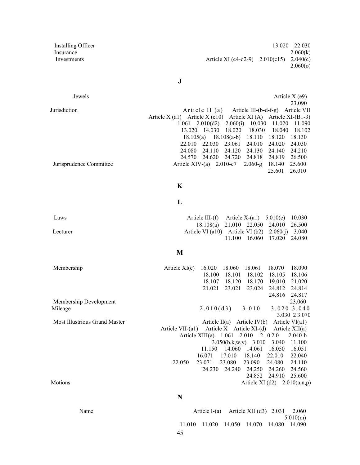**Installing Officer** 13.020 22.030 Insurance  $2.060(k)$ Investments Article XI (c4-d2-9) 2.010(c15) 2.040(c) 2.060(o)

**J**

Jewels **Article X** (e9) 23.090 Jurisdiction **Article II** (a) Article III-(b-d-f-g) Article VII Article X (a1) Article X (e10) Article XI (A) Article XI-(B1-3) 1.061 2.010(d2) 2.060(i) 10.030 11.020 11.090 13.020 14.030 18.020 18.030 18.040 18.102 18.105(a) 18.108(a-b) 18.110 18.120 18.130 22.010 22.030 23.061 24.010 24.020 24.030 24.080 24.110 24.120 24.130 24.140 24.210 24.570 24.620 24.720 24.818 24.819 26.500 Jurisprudence Committee Article XIV-(a) 2.010-c7 2.060-g 18.140 25.600 25.601 26.010

#### **K**

#### **L**

Laws **Article III-(f)** Article X-(a1) 5.010(c) 10.030 18.108(a) 21.010 22.050 24.010 26.500 Lecturer Article VI (a10) Article VI (b2) 2.060(j) 3.040 11.100 16.060 17.020 24.080

#### **M**

Membership Article XI(c) 16.020 18.060 18.061 18.070 18.090 18.100 18.101 18.102 18.105 18.106 18.107 18.120 18.170 19.010 21.020 21.021 23.021 23.024 24.812 24.814 24.816 24.817 Membership Development 23.060 Mileage 2.010(d3) 3.010 3.020 3.040 3.030 2 3.070 Most Illustrious Grand Master Article II(a) Article IV(b) Article VI(a1) Article VII-(a1) Article X Article XI-(d) Article XII(a) Article XIII(a) 1.061 2.010 2.020 2.040-b 3.050(b,k,w,y) 3.010 3.040 11.100 11.150 14.060 14.061 16.050 16.051 16.071 17.010 18.140 22.010 22.040 22.050 23.071 23.080 23.090 24.080 24.110 24.230 24.240 24.250 24.260 24.560 24.852 24.910 25.600 Motions  $\Delta t$  and  $\Delta t$  and  $\Delta t$  article XI (d2) 2.010(a,n,p)

#### **N**

Name Article I-(a) Article XII (d3) 2.031 2.060 5.010(m) 11.010 11.020 14.050 14.070 14.080 14.090

45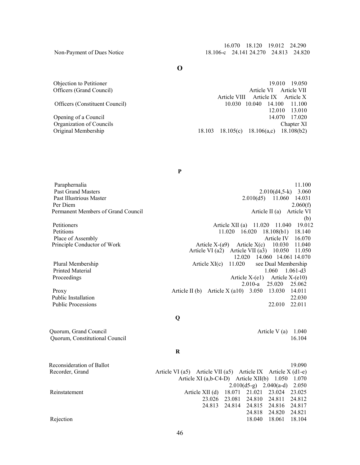16.070 18.120 19.012 24.290 Non-Payment of Dues Notice 18.106-c 24.141 24.270 24.813 24.820

**O**

Objection to Petitioner 19.010 19.050 Officers (Grand Council) and Article VI Article VI Article VII Article VII Article VII Article VIII Article IX Article X Officers (Constituent Council) 10.030 10.040 14.100 11.100 12.010 13.010<br>14.070 17.020 Organization of Councils Chapter XI Original Membership 18.103 18.105(c) 18.106(a,c) 18.108(b2)

Article VI  $(a2)^{\top}$  Article VII  $(a3)^{\top}$  10.050 11.050

Paraphernalia 11.100 Past Grand Masters 2.010(d4,5-k) 3.060 Past Illustrious Master 2.010(d5) 11.060 14.031 Per Diem  $2.060(f)$ Permanent Members of Grand Council and Article II (a) Article VI (a) Article VI

Petitioners **Article XII** (a) 11.020 11.040 19.012 Petitions 11.020 16.020 18.108(b1) 18.140 Place of Assembly **Article IV** 16.070 Principle Conductor of Work Article X-(a9) Article X(c) 10.030 11.040

Plural Membership **Article XI(c)** 11.020 see Dual Membership Printed Material 1.060 1.061-d3 Proceedings **Article X-(e1)** Article X-(e1) Article X-(e10)

Proxy **Article II** (b) Article X (a10) 3.050 13.030 14.011 Public Installation 22.030 Public Processions 22.011 22.011

Quorum, Grand Council **Article V** (a) 1.040 Quorum, Constitutional Council 16.104

12.020 14.060 14.061 14.070

2.010-a 25.020 25.062

(b)

#### **R**

**Q** 

Reconsideration of Ballot 19.090 Recorder, Grand Article VI (a5) Article VII (a5) Article IX Article X (d1-e) Article XI (a,b-C4-D) Article XII(b) 1.050 1.070 2.010(d5-g) 2.040(a-d) 2.050 Reinstatement Article XII (d) 18.071 21.021 23.024 23.025 23.026 23.081 24.810 24.811 24.812 24.813 24.814 24.815 24.816 24.817 24.818 24.820 24.821 Rejection 18.061 18.104

Opening of a Council

**P**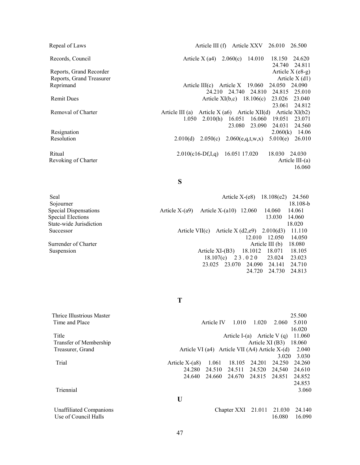Repeal of Laws **Article III (f)** Article XXV 26.010 26.500 Records, Council **Article X** (a4) 2.060(c) 14.010 18.150 24.620 24.740 24.811 Reports, Grand Recorder Article X (e8-g) Reports, Grand Treasurer Article X (d1) Reprimand Article III(c) Article X 19.060 24.050 24.090 24.210 24.740 24.810 24.815 25.010 Remit Dues Article XI(b,c) 18.106(c) 23.026 23.040 23.061 24.812 Removal of Charter Article III (a) Article X (a6) Article XII(d) Article XI(b2) 1.050 2.010(h) 16.051 16.060 19.051 23.071 23.080 23.090 24.031 24.560 Resignation 2.060(k) 14.06<br>Resolution 2.010(d) 2.050(c) 2.060(e.g.t.w.x) 5.010(e) 26.010 2.010(d) 2.050(c) 2.060(e,q,t,w,x) 5.010(e) 26.010 Ritual 2.010(c16-Df,I,q) 16.051 17.020 18.030 24.030 Revoking of Charter Article III-(a)

**S**

Seal Article X-(e8) 18.108(e2) 24.560 Sojourner 18.108-b Special Dispensations Article X-(a9) Article X-(a10) 12.060 14.060 14.061 Special Elections 13.030 14.060 State-wide Jurisdiction 18.020 Successor Article VII(c) Article X (d2,e9) 2.010(d3) 11.110 12.010 12.050 14.050 Surrender of Charter Article III (b) 18.080 Suspension **Article XI-(B3)** 18.1012 18.071 18.105 18.107(c) 2 3 . 0 2 0 23.024 23.023 23.025 23.070 24.090 24.141 24.710 24.720 24.730 24.813

16.060

**T**

| Thrice Illustrious Master |                  |            |                                                  |                  |        | 25.500 |
|---------------------------|------------------|------------|--------------------------------------------------|------------------|--------|--------|
| Time and Place            |                  | Article IV | 1.010                                            | 1.020            | 2.060  | 5.010  |
|                           |                  |            |                                                  |                  |        | 16.020 |
| Title                     |                  |            | Article I-(a) Article V (q)                      |                  |        | 11.060 |
| Transfer of Membership    |                  |            |                                                  | Article $XI(B3)$ |        | 18.060 |
| Treasurer, Grand          |                  |            | Article VI (a4) Article VII (A4) Article $X-(d)$ |                  |        | 2.040  |
|                           |                  |            |                                                  |                  | 3.020  | 3.030  |
| Trial                     | Article $X-(a8)$ | 1.061      | 18.105                                           | 24.201           | 24.250 | 24.260 |
|                           | 24.280           | 24.510     | 24.511                                           | 24.520           | 24.540 | 24.610 |
|                           | 24.640           | 24.660     | 24.670                                           | 24.815           | 24.851 | 24.852 |
|                           |                  |            |                                                  |                  |        | 24.853 |
| Triennial                 |                  |            |                                                  |                  |        | 3.060  |
|                           | U                |            |                                                  |                  |        |        |
| Unaffiliated Companions   |                  |            | Chapter XXI 21.011                               |                  | 21.030 | 24.140 |
| Use of Council Halls      |                  |            |                                                  |                  | 16.080 | 16.090 |
|                           |                  |            |                                                  |                  |        |        |